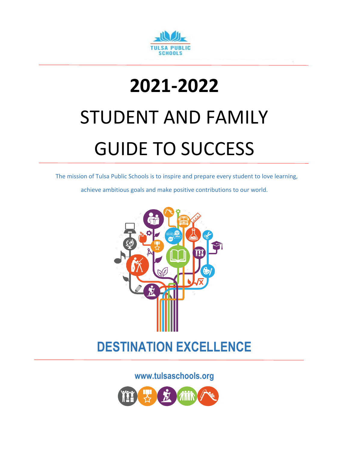

## **2021-2022** STUDENT AND FAMILY

# GUIDE TO SUCCESS

The mission of Tulsa Public Schools is to inspire and prepare every student to love learning,

achieve ambitious goals and make positive contributions to our world.



## **DESTINATION EXCELLENCE**

**www.tulsaschools.org**

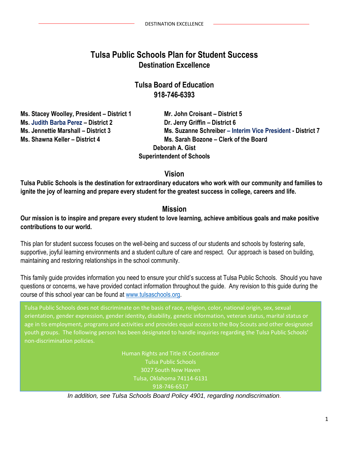## **Tulsa Public Schools Plan for Student Success Destination Excellence**

#### **Tulsa Board of Education 918-746-6393**

**Ms. Stacey Woolley, President – District 1 Mr. John Croisant – District 5 Ms. Judith Barba Perez – District 2 Dr. Jerry Griffin – District 6 Ms. Shawna Keller – District 4 Ms. Sarah Bozone – Clerk of the Board** 

**Ms. Jennettie Marshall – District 3 Ms. Suzanne Schreiber – Interim Vice President - District 7 Deborah A. Gist Superintendent of Schools**

#### **Vision**

**Tulsa Public Schools is the destination for extraordinary educators who work with our community and families to ignite the joy of learning and prepare every student for the greatest success in college, careers and life.**

#### **Mission**

**Our mission is to inspire and prepare every student to love learning, achieve ambitious goals and make positive contributions to our world.**

This plan for student success focuses on the well-being and success of our students and schools by fostering safe, supportive, joyful learning environments and a student culture of care and respect. Our approach is based on building, maintaining and restoring relationships in the school community.

This family guide provides information you need to ensure your child's success at Tulsa Public Schools. Should you have questions or concerns, we have provided contact information throughout the guide. Any revision to this guide during the course of this school year can be found at [www.tulsaschools.org.](http://www.tulsaschools.org/)

Tulsa Public Schools does not discriminate on the basis of race, religion, color, national origin, sex, sexual orientation, gender expression, gender identity, disability, genetic information, veteran status, marital status or age in tis employment, programs and activities and provides equal access to the Boy Scouts and other designated youth groups. The following person has been designated to handle inquiries regarding the Tulsa Public Schools' non-discrimination policies.

> Human Rights and Title IX Coordinator Tulsa Public Schools 3027 South New Haven Tulsa, Oklahoma 74114-6131 918-746-6517

*In addition, see Tulsa Schools Board Policy 4901, regarding nondiscrimation.*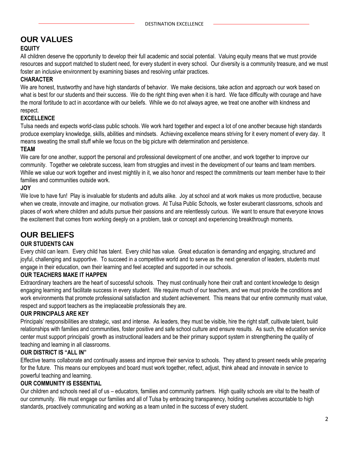## **OUR VALUES**

#### **EQUITY**

All children deserve the opportunity to develop their full academic and social potential. Valuing equity means that we must provide resources and support matched to student need, for every student in every school. Our diversity is a community treasure, and we must foster an inclusive environment by examining biases and resolving unfair practices.

#### **CHARACTER**

We are honest, trustworthy and have high standards of behavior. We make decisions, take action and approach our work based on what is best for our students and their success. We do the right thing even when it is hard. We face difficulty with courage and have the moral fortitude to act in accordance with our beliefs. While we do not always agree, we treat one another with kindness and respect.

#### **EXCELLENCE**

Tulsa needs and expects world-class public schools. We work hard together and expect a lot of one another because high standards produce exemplary knowledge, skills, abilities and mindsets. Achieving excellence means striving for it every moment of every day. It means sweating the small stuff while we focus on the big picture with determination and persistence.

#### **TEAM**

We care for one another, support the personal and professional development of one another, and work together to improve our community. Together we celebrate success, learn from struggles and invest in the development of our teams and team members. While we value our work together and invest mightily in it, we also honor and respect the commitments our team member have to their families and communities outside work.

#### **JOY**

We love to have fun! Play is invaluable for students and adults alike. Joy at school and at work makes us more productive, because when we create, innovate and imagine, our motivation grows. At Tulsa Public Schools, we foster exuberant classrooms, schools and places of work where children and adults pursue their passions and are relentlessly curious. We want to ensure that everyone knows the excitement that comes from working deeply on a problem, task or concept and experiencing breakthrough moments.

#### **OUR BELIEFS**

#### **OUR STUDENTS CAN**

Every child can learn. Every child has talent. Every child has value. Great education is demanding and engaging, structured and joyful, challenging and supportive. To succeed in a competitive world and to serve as the next generation of leaders, students must engage in their education, own their learning and feel accepted and supported in our schools.

#### **OUR TEACHERS MAKE IT HAPPEN**

Extraordinary teachers are the heart of successful schools. They must continually hone their craft and content knowledge to design engaging learning and facilitate success in every student. We require much of our teachers, and we must provide the conditions and work environments that promote professional satisfaction and student achievement. This means that our entire community must value, respect and support teachers as the irreplaceable professionals they are.

#### **OUR PRINCIPALS ARE KEY**

Principals' responsibilities are strategic, vast and intense. As leaders, they must be visible, hire the right staff, cultivate talent, build relationships with families and communities, foster positive and safe school culture and ensure results. As such, the education service center must support principals' growth as instructional leaders and be their primary support system in strengthening the quality of teaching and learning in all classrooms.

#### **OUR DISTRICT IS "ALL IN"**

Effective teams collaborate and continually assess and improve their service to schools. They attend to present needs while preparing for the future. This means our employees and board must work together, reflect, adjust, think ahead and innovate in service to powerful teaching and learning.

#### **OUR COMMUNITY IS ESSENTIAL**

Our children and schools need all of us – educators, families and community partners. High quality schools are vital to the health of our community. We must engage our families and all of Tulsa by embracing transparency, holding ourselves accountable to high standards, proactively communicating and working as a team united in the success of every student.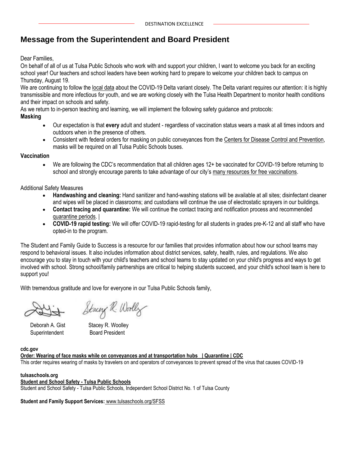## **Message from the Superintendent and Board President**

Dear Families,

On behalf of all of us at Tulsa Public Schools who work with and support your children, I want to welcome you back for an exciting school year! Our teachers and school leaders have been working hard to prepare to welcome your children back to campus on Thursday, August 19.

We are continuing to follow the [local data](https://resources.finalsite.net/images/v1627940965/tulsaschoolsorg/xymitcx2nh6tl3rbxrdi/SafetyUpdate_BOEMeeting_080221.pdf) about the COVID-19 Delta variant closely. The Delta variant requires our attention: it is highly transmissible and more infectious for youth, and we are working closely with the Tulsa Health Department to monitor health conditions and their impact on schools and safety.

As we return to in-person teaching and learning, we will implement the following safety guidance and protocols:

#### **Masking**

- Our expectation is that **every** adult and student regardless of vaccination status wears a mask at all times indoors and outdoors when in the presence of others.
- Consistent with federal orders for masking on public conveyances from the [Centers for Disease Control and Prevention,](https://www.cdc.gov/quarantine/masks/mask-travel-guidance.html) masks will be required on all Tulsa Public Schools buses.

#### **Vaccination**

• We are following the CDC's recommendation that all children ages 12+ be vaccinated for COVID-19 before returning to school and strongly encourage parents to take advantage of our city's [many resources for free vaccinations.](https://vaccinate.oklahoma.gov/en-US/)

Additional Safety Measures

- **Handwashing and cleaning:** Hand sanitizer and hand-washing stations will be available at all sites; disinfectant cleaner and wipes will be placed in classrooms; and custodians will continue the use of electrostatic sprayers in our buildings.
- **Contact tracing and quarantine:** We will continue the contact tracing and notification process and recommended [quarantine periods.](https://www.tulsaschools.org/student-and-family-support/school-safety#fs-panel-233100) |
- **COVID-19 rapid testing:** We will offer COVID-19 rapid-testing for all students in grades pre-K-12 and all staff who have opted-in to the program.

The Student and Family Guide to Success is a resource for our families that provides information about how our school teams may respond to behavioral issues. It also includes information about district services, safety, health, rules, and regulations. We also encourage you to stay in touch with your child's teachers and school teams to stay updated on your child's progress and ways to get involved with school. Strong school/family partnerships are critical to helping students succeed, and your child's school team is here to support you!

With tremendous gratitude and love for everyone in our Tulsa Public Schools family,

Stacey R. Woolly

Superintendent Board President

Deborah A. Gist Stacey R. Woolley

#### **cdc.gov**

**[Order: Wearing of face masks while on conveyances and at transportation hubs | Quarantine | CDC](https://www.cdc.gov/quarantine/masks/mask-travel-guidance.html)** This order requires wearing of masks by travelers on and operators of conveyances to prevent spread of the virus that causes COVID-19

#### **tulsaschools.org**

#### **[Student and School Safety -](https://www.tulsaschools.org/student-and-family-support/school-safety#fs-panel-233100) Tulsa Public Schools** Student and School Safety - Tulsa Public Schools, Independent School District No. 1 of Tulsa County

**Student and Family Support Services:** [www.tulsaschools.org/SFSS](http://www.tulsaschools.org/SFSS)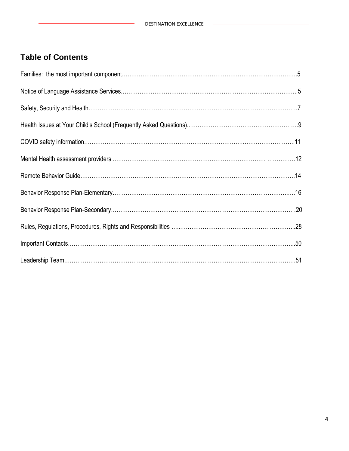L,

## **Table of Contents**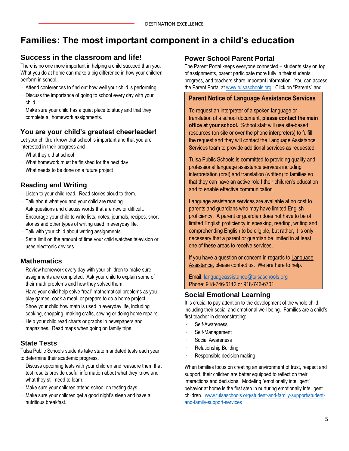## **Families: The most important component in a child's education**

#### **Success in the classroom and life!**

There is no one more important in helping a child succeed than you. What you do at home can make a big difference in how your children perform in school.

- Attend conferences to find out how well your child is performing
- Discuss the importance of going to school every day with your child.
- Make sure your child has a quiet place to study and that they complete all homework assignments.

#### **You are your child's greatest cheerleader!**

Let your children know that school is important and that you are interested in their progress and

- What they did at school
- What homework must be finished for the next day
- What needs to be done on a future project

#### **Reading and Writing**

- Listen to your child read. Read stories aloud to them.
- Talk about what you and your child are reading.
- Ask questions and discuss words that are new or difficult.
- Encourage your child to write lists, notes, journals, recipes, short stories and other types of writing used in everyday life.
- Talk with your child about writing assignments.
- Set a limit on the amount of time your child watches television or uses electronic devices.

#### **Mathematics**

- Review homework every day with your children to make sure assignments are completed. Ask your child to explain some of their math problems and how they solved them.
- Have your child help solve "real" mathematical problems as you play games, cook a meal, or prepare to do a home project.
- $\cdot$  Show your child how math is used in everyday life, including cooking, shopping, making crafts, sewing or doing home repairs.
- Help your child read charts or graphs in newspapers and magazines. Read maps when going on family trips.

#### **State Tests**

Tulsa Public Schools students take state mandated tests each year to determine their academic progress.

- Discuss upcoming tests with your children and reassure them that test results provide useful information about what they know and what they still need to learn.
- Make sure your children attend school on testing days.
- Make sure your children get a good night's sleep and have a nutritious breakfast.

#### **Power School Parent Portal**

The Parent Portal keeps everyone connected – students stay on top of assignments, parent participate more fully in their students progress, and teachers share important information. You can access the Parent Portal at [www.tulsaschools.org](http://www.tulsaschools.org/). Click on "Parents" and

## **Parent Notice of Language Assistance Services**

To request an interpreter of a spoken language or translation of a school document, **please contact the main office at your school.** School staff will use site-based resources (on site or over the phone interpreters) to fulfill the request and they will contact the Language Assistance Services team to provide additional services as requested.

Tulsa Public Schools is committed to providing quality and professional language assistance services including interpretation (oral) and translation (written) to families so that they can have an active role I their children's education and to enable effective communication.

Language assistance services are available at no cost to parents and guardians who may have limited English proficiency. A parent or guardian does not have to be of limited English proficiency in speaking, reading, writing and comprehending English to be eligible, but rather, it is only necessary that a parent or guardian be limited in at least one of these areas to receive services.

If you have a question or concern in regards to Language Assistance, please contact us. We are here to help.

Email: [languageassistance@tulsaschools.org](mailto:languageassistance@tulsaschools.org) Phone: 918-746-6112 or 918-746-6701

#### **Social Emotional Learning**

It is crucial to pay attention to the development of the whole child, including their social and emotional well-being. Families are a child's first teacher in demonstrating:

- Self-Awareness
- Self-Management
- Social Awareness
- Relationship Building
- Responsible decision making

When families focus on creating an environment of trust, respect and support, their children are better equipped to reflect on their interactions and decisions. Modeling "emotionally intelligent" behavior at home is the first step in nurturing emotionally intelligent children. [www.tulsaschools.org/student-and-family-support/student](http://www.tulsaschools.org/student-and-family-support/student-and-family-support-services)[and-family-support-services](http://www.tulsaschools.org/student-and-family-support/student-and-family-support-services)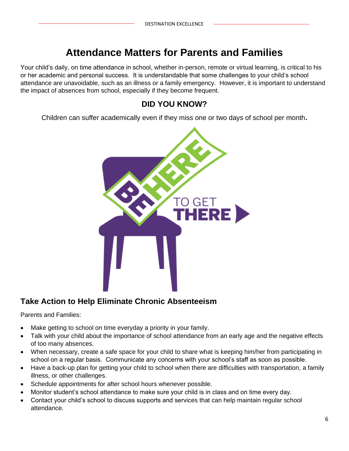## **Attendance Matters for Parents and Families**

Your child's daily, on time attendance in school, whether in-person, remote or virtual learning, is critical to his or her academic and personal success. It is understandable that some challenges to your child's school attendance are unavoidable, such as an illness or a family emergency. However, it is important to understand the impact of absences from school, especially if they become frequent.

## **DID YOU KNOW?**

Children can suffer academically even if they miss one or two days of school per month**.**



## **Take Action to Help Eliminate Chronic Absenteeism**

Parents and Families:

- Make getting to school on time everyday a priority in your family.
- Talk with your child about the importance of school attendance from an early age and the negative effects of too many absences.
- When necessary, create a safe space for your child to share what is keeping him/her from participating in school on a regular basis. Communicate any concerns with your school's staff as soon as possible.
- Have a back-up plan for getting your child to school when there are difficulties with transportation, a family illness, or other challenges.
- Schedule appointments for after school hours whenever possible.
- Monitor student's school attendance to make sure your child is in class and on time every day.
- Contact your child's school to discuss supports and services that can help maintain regular school attendance.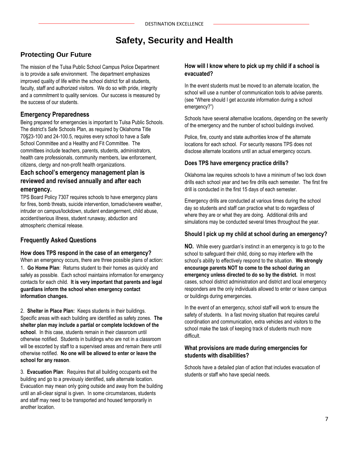## **Safety, Security and Health**

#### **Protecting Our Future**

The mission of the Tulsa Public School Campus Police Department is to provide a safe environment. The department emphasizes improved quality of life within the school district for all students, faculty, staff and authorized visitors. We do so with pride, integrity and a commitment to quality services. Our success is measured by the success of our students.

#### **Emergency Preparedness**

Being prepared for emergencies is important to Tulsa Public Schools. The district's Safe Schools Plan, as required by Oklahoma Title 70§23-100 and 24-100.5, requires every school to have a Safe School Committee and a Healthy and Fit Committee. The committees include teachers, parents, students, administrators, health care professionals, community members, law enforcement, citizens, clergy and non-profit health organizations.

#### **Each school's emergency management plan is reviewed and revised annually and after each emergency.**

TPS Board Policy 7307 requires schools to have emergency plans for fires, bomb threats, suicide intervention, tornadic/severe weather, intruder on campus/lockdown, student endangerment, child abuse, accident/serious illness, student runaway, abduction and atmospheric chemical release.

#### **Frequently Asked Questions**

#### **How does TPS respond in the case of an emergency?**

When an emergency occurs, there are three possible plans of action: 1. **Go Home Plan**: Returns student to their homes as quickly and safely as possible. Each school maintains information for emergency contacts for each child. **It is very important that parents and legal guardians inform the school when emergency contact information changes.**

2. **Shelter in Place Plan:** Keeps students in their buildings. Specific areas with each building are identified as safety zones. **The shelter plan may include a partial or complete lockdown of the school**. In this case, students remain in their classroom until otherwise notified. Students in buildings who are not in a classroom will be escorted by staff to a supervised areas and remain there until otherwise notified. **No one will be allowed to enter or leave the school for any reason**.

3. **Evacuation Plan**: Requires that all building occupants exit the building and go to a previously identified, safe alternate location. Evacuation may mean only going outside and away from the building until an all-clear signal is given. In some circumstances, students and staff may need to be transported and housed temporarily in another location.

#### **How will I know where to pick up my child if a school is evacuated?**

In the event students must be moved to an alternate location, the school will use a number of communication tools to advise parents. (see "Where should I get accurate information during a school emergency?")

Schools have several alternative locations, depending on the severity of the emergency and the number of school buildings involved.

Police, fire, county and state authorities know of the alternate locations for each school. For security reasons TPS does not disclose alternate locations until an actual emergency occurs.

#### **Does TPS have emergency practice drills?**

Oklahoma law requires schools to have a minimum of two lock down drills each school year and two fire drills each semester. The first fire drill is conducted in the first 15 days of each semester.

Emergency drills are conducted at various times during the school day so students and staff can practice what to do regardless of where they are or what they are doing. Additional drills and simulations may be conducted several times throughout the year.

#### **Should I pick up my child at school during an emergency?**

**NO.** While every guardian's instinct in an emergency is to go to the school to safeguard their child, doing so may interfere with the school's ability to effectively respond to the situation. **We strongly encourage parents NOT to come to the school during an emergency unless directed to do so by the district.** In most cases, school district administration and district and local emergency responders are the only individuals allowed to enter or leave campus or buildings during emergencies.

In the event of an emergency, school staff will work to ensure the safety of students. In a fast moving situation that requires careful coordination and communication, extra vehicles and visitors to the school make the task of keeping track of students much more difficult.

#### **What provisions are made during emergencies for students with disabilities?**

Schools have a detailed plan of action that includes evacuation of students or staff who have special needs.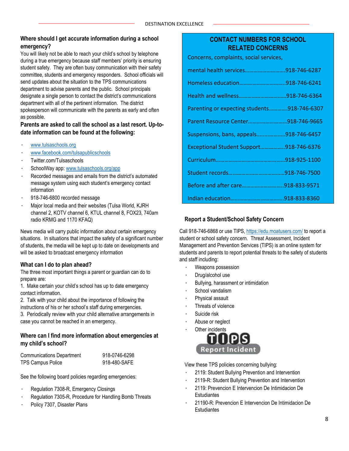#### **Where should I get accurate information during a school emergency?**

You will likely not be able to reach your child's school by telephone during a true emergency because staff members' priority is ensuring student safety. They are often busy communication with their safety committee, students and emergency responders. School officials will send updates about the situation to the TPS communications department to advise parents and the public. School principals designate a single person to contact the district's communications department with all of the pertinent information. The district spokesperson will communicate with the parents as early and often as possible.

#### **Parents are asked to call the school as a last resort. Up-todate information can be found at the following:**

- [www.tulsaschools.org](http://www.tulsaschools.org/)
- [www.facebook.com/tulsapublicschools](http://www.facebook.com/tulsapublicschools)
- Twitter.com/Tulsaschools
- SchoolWay app: [www.tulsaschools.org/app](http://www.tulsaschools.org/app)
- Recorded messages and emails from the district's automated message system using each student's emergency contact information
- 918-746-6800 recorded message
- Major local media and their websites (Tulsa World, KJRH channel 2, KOTV channel 6, KTUL channel 8, FOX23, 740am radio KRMG and 1170 KFAQ)

News media will carry public information about certain emergency situations. In situations that impact the safety of a significant number of students, the media will be kept up to date on developments and will be asked to broadcast emergency information

#### **What can I do to plan ahead?**

The three most important things a parent or guardian can do to prepare are:

1. Make certain your child's school has up to date emergency contact information.

2. Talk with your child about the importance of following the instructions of his or her school's staff during emergencies.

3. Periodically review with your child alternative arrangements in case you cannot be reached in an emergency.

#### **Where can I find more information about emergencies at my child's school?**

| <b>Communications Department</b> | 918-0746-6298 |
|----------------------------------|---------------|
| TPS Campus Police                | 918-480-SAFE  |

See the following board policies regarding emergencies:

- Regulation 7308-R, Emergency Closings
- Regulation 7305-R, Procedure for Handling Bomb Threats
- Policy 7307, Disaster Plans

#### **CONTACT NUMBERS FOR SCHOOL RELATED CONCERNS**

Concerns, complaints, social services,

| mental health services918-746-6287          |               |
|---------------------------------------------|---------------|
| Homeless education                          | .918-746-6241 |
|                                             |               |
| Parenting or expecting students918-746-6307 |               |
| Parent Resource Center918-746-9665          |               |
| Suspensions, bans, appeals918-746-6457      |               |
| Exceptional Student Support918-746-6376     |               |
|                                             |               |
|                                             |               |
| Before and after care918-833-9571           |               |
|                                             |               |

#### **Report a Student/School Safety Concern**

Call 918-746-6868 or use TIPS[, https://edu.moatusers.com/](https://edu.moatusers.com/) to report a student or school safety concern. Threat Assessment, Incident Management and Prevention Services (TIPS) is an online system for students and parents to report potential threats to the safety of students and staff including:

- Weapons possession
- Drug/alcohol use
- Bullying, harassment or intimidation
- School vandalism
- Physical assault
- Threats of violence
- Suicide risk
- Abuse or neglect



View these TPS policies concerning bullying:

- 2119: Student Bullying Prevention and Intervention
- 2119-R: Student Bullying Prevention and Intervention
- 2119: Prevencion E Intervencion De Intimidacion De **Estudiantes**
- 21190-R: Prevencion E Intervencion De Intimidacion De **Estudiantes**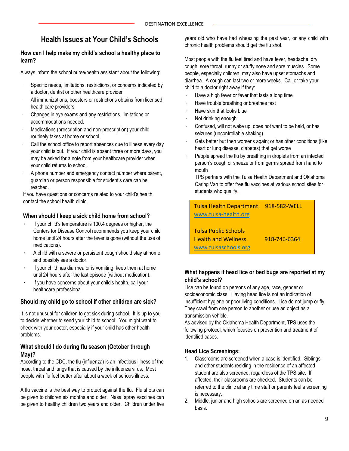## **Health Issues at Your Child's Schools**

#### **How can I help make my child's school a healthy place to learn?**

Always inform the school nurse/health assistant about the following:

- Specific needs, limitations, restrictions, or concerns indicated by a doctor, dentist or other healthcare provider
- All immunizations, boosters or restrictions obtains from licensed health care providers
- Changes in eye exams and any restrictions, limitations or accommodations needed.
- Medications (prescription and non-prescription) your child routinely takes at home or school.
- Call the school office to report absences due to illness every day your child is out. If your child is absent three or more days, you may be asked for a note from your healthcare provider when your child returns to school.
- A phone number and emergency contact number where parent, guardian or person responsible for student's care can be reached.

If you have questions or concerns related to your child's health, contact the school health clinic.

#### **When should I keep a sick child home from school?**

- If your child's temperature is 100.4 degrees or higher, the Centers for Disease Control recommends you keep your child home until 24 hours after the fever is gone (without the use of medications).
- A child with a severe or persistent cough should stay at home and possibly see a doctor.
- If your child has diarrhea or is vomiting, keep them at home until 24 hours after the last episode (without medication).
- If you have concerns about your child's health, call your healthcare professional.

#### **Should my child go to school if other children are sick?**

It is not unusual for children to get sick during school. It is up to you to decide whether to send your child to school. You might want to check with your doctor, especially if your child has other health problems.

#### **What should I do during flu season (October through May)?**

According to the CDC, the flu (influenza) is an infectious illness of the nose, throat and lungs that is caused by the influenza virus. Most people with flu feel better after about a week of serious illness.

A flu vaccine is the best way to protect against the flu. Flu shots can be given to children six months and older. Nasal spray vaccines can be given to healthy children two years and older. Children under five

years old who have had wheezing the past year, or any child with chronic health problems should get the flu shot.

Most people with the flu feel tired and have fever, headache, dry cough, sore throat, runny or stuffy nose and sore muscles. Some people, especially children, may also have upset stomachs and diarrhea. A cough can last two or more weeks. Call or take your child to a doctor right away if they:

- Have a high fever or fever that lasts a long time
- Have trouble breathing or breathes fast
- Have skin that looks blue
- Not drinking enough
- Confused, will not wake up, does not want to be held, or has seizures (uncontrollable shaking)
- Gets better but then worsens again; or has other conditions (like heart or lung disease, diabetes) that get worse
- People spread the flu by breathing in droplets from an infected person's cough or sneeze or from germs spread from hand to mouth

TPS partners with the Tulsa Health Department and Oklahoma Caring Van to offer free flu vaccines at various school sites for students who qualify.

Tulsa Health Department 918-582-WELL [www.tulsa-health.org](http://www.tulsa-health.org/) Tulsa Public Schools Health and Wellness 918-746-6364 [www.tulsaschools.org](http://www.tulsaschools.org/)

#### **What happens if head lice or bed bugs are reported at my child's school?**

Lice can be found on persons of any age, race, gender or socioeconomic class. Having head lice is not an indication of insufficient hygiene or poor living conditions. Lice do not jump or fly. They crawl from one person to another or use an object as a transmission vehicle.

As advised by the Oklahoma Health Department, TPS uses the following protocol, which focuses on prevention and treatment of identified cases.

#### **Head Lice Screenings:**

Click on the parent link

- 1. Classrooms are screened when a case is identified. Siblings and other students residing in the residence of an affected student are also screened, regardless of the TPS site. If affected, their classrooms are checked. Students can be referred to the clinic at any time staff or parents feel a screening is necessary.
- 2. Middle, junior and high schools are screened on an as needed basis.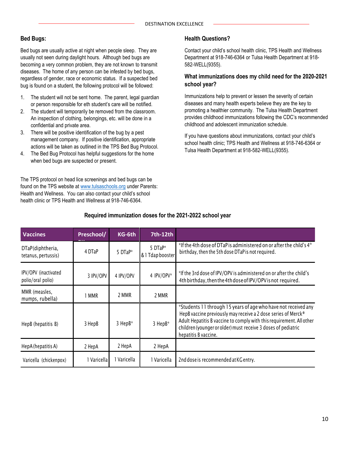#### **Bed Bugs:**

Bed bugs are usually active at night when people sleep. They are usually not seen during daylight hours. Although bed bugs are becoming a very common problem, they are not known to transmit diseases. The home of any person can be infested by bed bugs, regardless of gender, race or economic status. If a suspected bed bug is found on a student, the following protocol will be followed:

- 1. The student will not be sent home. The parent, legal guardian or person responsible for eth student's care will be notified.
- 2. The student will temporarily be removed from the classroom. An inspection of clothing, belongings, etc. will be done in a confidential and private area.
- 3. There will be positive identification of the bug by a pest management company. If positive identification, appropriate actions will be taken as outlined in the TPS Bed Bug Protocol.
- 4. The Bed Bug Protocol has helpful suggestions for the home when bed bugs are suspected or present.

The TPS protocol on head lice screenings and bed bugs can be found on the TPS website at [www.tulsaschools.org](http://www.tulsaschools.org/) under Parents: Health and Wellness. You can also contact your child's school health clinic or TPS Health and Wellness at 918-746-6364.

#### **Health Questions?**

Contact your child's school health clinic, TPS Health and Wellness Department at 918-746-6364 or Tulsa Health Department at 918- 582-WELL(9355).

#### **What immunizations does my child need for the 2020-2021 school year?**

Immunizations help to prevent or lessen the severity of certain diseases and many health experts believe they are the key to promoting a healthier community. The Tulsa Health Department provides childhood immunizations following the CDC's recommended childhood and adolescent immunization schedule.

If you have questions about immunizations, contact your child's school health clinic; TPS Health and Wellness at 918-746-6364 or Tulsa Health Department at 918-582-WELL(9355).

| <b>Vaccines</b>                           | Preschool/  | KG-6th      | 7th-12th                    |                                                                                                                                                                                                                                                                                                  |
|-------------------------------------------|-------------|-------------|-----------------------------|--------------------------------------------------------------------------------------------------------------------------------------------------------------------------------------------------------------------------------------------------------------------------------------------------|
| DTaP(diphtheria,<br>tetanus, pertussis)   | 4 DTaP      | 5 DTaP*     | 5 DTaP*<br>& 1 Tdap booster | *If the 4th dose of DTaP is administered on or after the child's 4 <sup>th</sup><br>birthday, then the 5th dose DTaP is not required.                                                                                                                                                            |
| IPV/OPV (inactivated<br>polio/oral polio) | 3 IPV/OPV   | 4 IPV/OPV   | 4 IPV/OPV*                  | *If the 3rd dose of IPV/OPV is administered on or after the child's<br>4th birthday, then the 4th dose of IPV/OPV is not required.                                                                                                                                                               |
| MMR (measles,<br>mumps, rubella)          | MMR         | 2 MMR       | 2 MMR                       |                                                                                                                                                                                                                                                                                                  |
| HepB (hepatitis B)                        | 3 HepB      | 3 HepB*     | 3 HepB*                     | *Students 11 through 15 years of age who have not received any<br>HepB vaccine previously may receive a 2 dose series of Merck®<br>Adult Hepatitis B vaccine to comply with this requirement. All other<br>children (younger or older) must receive 3 doses of pediatric<br>hepatitis B vaccine. |
| HepA (hepatitis A)                        | 2 HepA      | 2 HepA      | 2 HepA                      |                                                                                                                                                                                                                                                                                                  |
| Varicella (chickenpox)                    | 1 Varicella | I Varicella | 1 Varicella                 | 2nd dose is recommended at KG entry.                                                                                                                                                                                                                                                             |

#### **Required immunization doses for the 2021-2022 school year**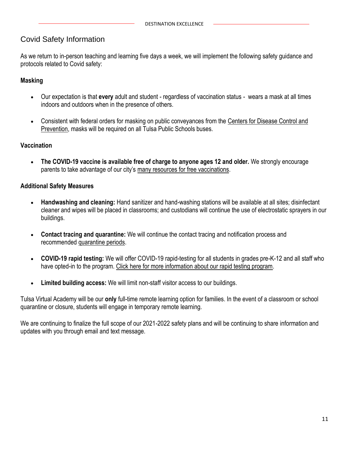#### Covid Safety Information

As we return to in-person teaching and learning five days a week, we will implement the following safety guidance and protocols related to Covid safety:

#### **Masking**

- Our expectation is that **every** adult and student regardless of vaccination status wears a mask at all times indoors and outdoors when in the presence of others.
- Consistent with federal orders for masking on public conveyances from the [Centers for Disease Control and](https://www.cdc.gov/quarantine/masks/mask-travel-guidance.html)  [Prevention,](https://www.cdc.gov/quarantine/masks/mask-travel-guidance.html) masks will be required on all Tulsa Public Schools buses.

#### **Vaccination**

• **The COVID-19 vaccine is available free of charge to anyone ages 12 and older.** We strongly encourage parents to take advantage of our city's [many resources for free vaccinations.](https://vaccinate.oklahoma.gov/en-US/)

#### **Additional Safety Measures**

- **Handwashing and cleaning:** Hand sanitizer and hand-washing stations will be available at all sites; disinfectant cleaner and wipes will be placed in classrooms; and custodians will continue the use of electrostatic sprayers in our buildings.
- **Contact tracing and quarantine:** We will continue the contact tracing and notification process and recommended [quarantine periods.](https://www.tulsaschools.org/student-and-family-support/school-safety#fs-panel-233100)
- **COVID-19 rapid testing:** We will offer COVID-19 rapid-testing for all students in grades pre-K-12 and all staff who have opted-in to the program. [Click here for more information about our rapid testing program.](https://www.tulsaschools.org/student-and-family-support/school-safety#fs-panel-186850)
- **Limited building access:** We will limit non-staff visitor access to our buildings.

Tulsa Virtual Academy will be our **only** full-time remote learning option for families. In the event of a classroom or school quarantine or closure, students will engage in temporary remote learning.

We are continuing to finalize the full scope of our 2021-2022 safety plans and will be continuing to share information and updates with you through email and text message.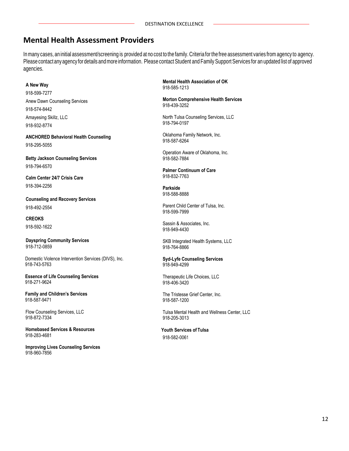## **Mental Health Assessment Providers**

In many cases, an initial assessment/screening is provided at no cost to the family. Criteria for the free assessment varies from agency to agency. Pleasecontact any agency for details andmore information. Please contact Student and Family Support Services for an updated list of approved agencies.

#### **A New Way**

918-599-7277 Anew Dawn Counseling Services 918-574-8442 Amayesing Skillz, LLC 918-932-8774

**ANCHORED Behavioral Health Counseling** 918-295-5055

**Betty Jackson Counseling Services** 918-794-6570

**Calm Center 24/7 Crisis Care** 918-394-2256

**Counseling and Recovery Services** 918-492-2554

**CREOKS** 918-592-1622

**Dayspring Community Services** 918-712-0859

 Domestic Violence Intervention Services (DIVS), Inc. 918-743-5763

**Essence of Life Counseling Services** 918-271-9624

**Family and Children's Services** 918-587-9471

Flow Counseling Services, LLC 918-872-7334

**Homebased Services & Resources** 918-283-4681

**Improving Lives Counseling Services** 918-960-7856

**Mental Health Association of OK** 918-585-1213

**Morton Comprehensive Health Services** 918-439-3252

North Tulsa Counseling Services, LLC 918-794-0197

Oklahoma Family Network, Inc. 918-587-6264

Operation Aware of Oklahoma, Inc. 918-582-7884

**Palmer Continuum of Care** 918-832-7763

**Parkside** 918-588-8888

Parent Child Center of Tulsa, Inc. 918-599-7999

Sassin & Associates, Inc. 918-949-4430

SKB Integrated Health Systems, LLC 918-764-8866

**Syd-Lyfe Counseling Services** 918-949-4299

Therapeutic Life Choices, LLC 918-406-3420

The Tristesse Grief Center, Inc. 918-587-1200

Tulsa Mental Health and Wellness Center, LLC 918-205-3013

**Youth Services of Tulsa** 918-582-0061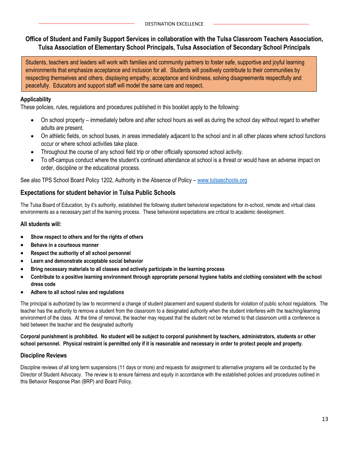#### **Office of Student and Family Support Services in collaboration with the Tulsa Classroom Teachers Association, Tulsa Association of Elementary School Principals, Tulsa Association of Secondary School Principals**

Students, teachers and leaders will work with families and community partners to foster safe, supportive and joyful learning environments that emphasize acceptance and inclusion for all. Students will positively contribute to their communities by respecting themselves and others, displaying empathy, acceptance and kindness, solving disagreements respectfully and peacefully. Educators and support staff will model the same care and respect.

#### **Applicability**

These policies, rules, regulations and procedures published in this booklet apply to the following:

- On school property immediately before and after school hours as well as during the school day without regard to whether adults are present.
- On athletic fields, on school buses, in areas immediately adjacent to the school and in all other places where school functions occur or where school activities take place.
- Throughout the course of any school field trip or other officially sponsored school activity.
- To off-campus conduct where the student's continued attendance at school is a threat or would have an adverse impact on order, discipline or the educational process.

See also TPS School Board Policy 1202, Authority in the Absence of Policy – [www.tulsaschools.org](http://www.tulsaschools.org/)

#### **Expectations for student behavior in Tulsa Public Schools**

The Tulsa Board of Education, by it's authority, established the following student behavioral expectations for in-school, remote and virtual class environments as a necessary part of the learning process. These behavioral expectations are critical to academic development.

#### **All students will:**

- **Show respect to others and for the rights of others**
- **Behave in a courteous manner**
- **Respect the authority of all school personnel**
- **Learn and demonstrate acceptable social behavior**
- **Bring necessary materials to all classes and actively participate in the learning process**
- **Contribute to a positive learning environment through appropriate personal hygiene habits and clothing consistent with the school dress code**
- **Adhere to all school rules and regulations**

The principal is authorized by law to recommend a change of student placement and suspend students for violation of public school regulations. The teacher has the authority to remove a student from the classroom to a designated authority when the student interferes with the teaching/learning environment of the class. At the time of removal, the teacher may request that the student not be returned to that classroom until a conference is held between the teacher and the designated authority

#### **Corporal punishment is prohibited. No student will be subject to corporal punishment by teachers, administrators, students or other school personnel. Physical restraint is permitted only if it is reasonable and necessary in order to protect people and property.**

#### **Discipline Reviews**

Discipline reviews of all long term suspensions (11 days or more) and requests for assignment to alternative programs will be conducted by the Director of Student Advocacy. The review is to ensure fairness and equity in accordance with the established policies and procedures outlined in this Behavior Response Plan (BRP) and Board Policy.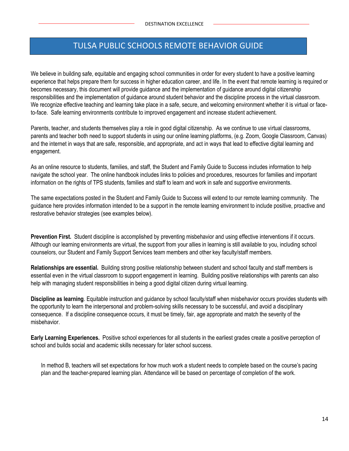## **V** TULSA PUBLIC SCHOOLS REMOTE BEHAVIOR GUIDE

We believe in building safe, equitable and engaging school communities in order for every student to have a positive learning experience that helps prepare them for success in higher education career, and life. In the event that remote learning is required or becomes necessary, this document will provide guidance and the implementation of guidance around digital citizenship responsibilities and the implementation of guidance around student behavior and the discipline process in the virtual classroom. We recognize effective teaching and learning take place in a safe, secure, and welcoming environment whether it is virtual or faceto-face. Safe learning environments contribute to improved engagement and increase student achievement.

Parents, teacher, and students themselves play a role in good digital citizenship. As we continue to use virtual classrooms, parents and teacher both need to support students in using our online learning platforms, (e.g. Zoom, Google Classroom, Canvas) and the internet in ways that are safe, responsible, and appropriate, and act in ways that lead to effective digital learning and engagement.

As an online resource to students, families, and staff, the Student and Family Guide to Success includes information to help navigate the school year. The online handbook includes links to policies and procedures, resources for families and important information on the rights of TPS students, families and staff to learn and work in safe and supportive environments.

The same expectations posted in the Student and Family Guide to Success will extend to our remote learning community. The guidance here provides information intended to be a support in the remote learning environment to include positive, proactive and restorative behavior strategies (see examples below).

**Prevention First.** Student discipline is accomplished by preventing misbehavior and using effective interventions if it occurs. Although our learning environments are virtual, the support from your allies in learning is still available to you, including school counselors, our Student and Family Support Services team members and other key faculty/staff members.

**Relationships are essential.** Building strong positive relationship between student and school faculty and staff members is essential even in the virtual classroom to support engagement in learning. Building positive relationships with parents can also help with managing student responsibilities in being a good digital citizen during virtual learning.

**Discipline as learning**. Equitable instruction and guidance by school faculty/staff when misbehavior occurs provides students with the opportunity to learn the interpersonal and problem-solving skills necessary to be successful, and avoid a disciplinary consequence. If a discipline consequence occurs, it must be timely, fair, age appropriate and match the severity of the misbehavior.

**Early Learning Experiences.** Positive school experiences for all students in the earliest grades create a positive perception of school and builds social and academic skills necessary for later school success.

In method B, teachers will set expectations for how much work a student needs to complete based on the course's pacing plan and the teacher-prepared learning plan. Attendance will be based on percentage of completion of the work.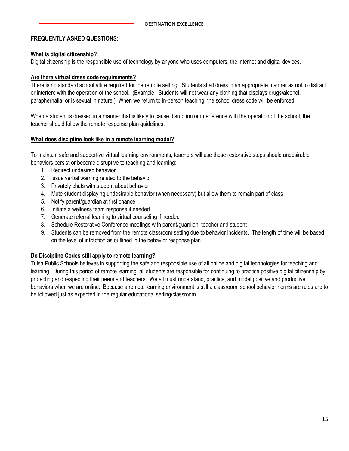#### **FREQUENTLY ASKED QUESTIONS:**

#### **What is digital citizenship?**

Digital citizenship is the responsible use of technology by anyone who uses computers, the internet and digital devices.

#### **Are there virtual dress code requirements?**

There is no standard school attire required for the remote setting. Students shall dress in an appropriate manner as not to distract or interfere with the operation of the school. (Example: Students will not wear any clothing that displays drugs/alcohol, paraphernalia, or is sexual in nature.) When we return to in-person teaching, the school dress code will be enforced.

When a student is dressed in a manner that is likely to cause disruption or interference with the operation of the school, the teacher should follow the remote response plan guidelines.

#### **What does discipline look like in a remote learning model?**

To maintain safe and supportive virtual learning environments, teachers will use these restorative steps should undesirable behaviors persist or become disruptive to teaching and learning:

- 1. Redirect undesired behavior
- 2. Issue verbal warning related to the behavior
- 3. Privately chats with student about behavior
- 4. Mute student displaying undesirable behavior (when necessary) but allow them to remain part of class
- 5. Notify parent/guardian at first chance
- 6. Initiate a wellness team response if needed
- 7. Generate referral learning to virtual counseling if needed
- 8. Schedule Restorative Conference meetings with parent/guardian, teacher and student
- 9. Students can be removed from the remote classroom setting due to behavior incidents. The length of time will be based on the level of infraction as outlined in the behavior response plan.

#### **Do Discipline Codes still apply to remote learning?**

Tulsa Public Schools believes in supporting the safe and responsible use of all online and digital technologies for teaching and learning. During this period of remote learning, all students are responsible for continuing to practice positive digital citizenship by protecting and respecting their peers and teachers. We all must understand, practice, and model positive and productive behaviors when we are online. Because a remote learning environment is still a classroom, school behavior norms are rules are to be followed just as expected in the regular educational setting/classroom.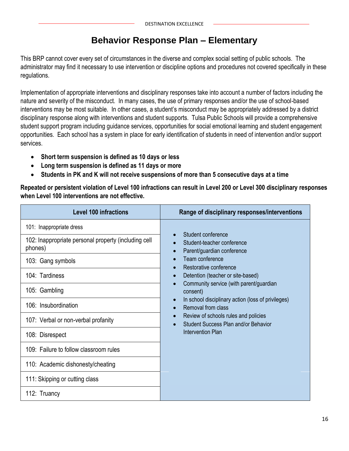## **Behavior Response Plan – Elementary**

This BRP cannot cover every set of circumstances in the diverse and complex social setting of public schools. The administrator may find it necessary to use intervention or discipline options and procedures not covered specifically in these regulations.

Implementation of appropriate interventions and disciplinary responses take into account a number of factors including the nature and severity of the misconduct. In many cases, the use of primary responses and/or the use of school-based interventions may be most suitable. In other cases, a student's misconduct may be appropriately addressed by a district disciplinary response along with interventions and student supports. Tulsa Public Schools will provide a comprehensive student support program including guidance services, opportunities for social emotional learning and student engagement opportunities. Each school has a system in place for early identification of students in need of intervention and/or support services.

- **Short term suspension is defined as 10 days or less**
- **Long term suspension is defined as 11 days or more**
- **Students in PK and K will not receive suspensions of more than 5 consecutive days at a time**

**Repeated or persistent violation of Level 100 infractions can result in Level 200 or Level 300 disciplinary responses when Level 100 interventions are not effective.**

| <b>Level 100 infractions</b>                                    | Range of disciplinary responses/interventions                                                      |
|-----------------------------------------------------------------|----------------------------------------------------------------------------------------------------|
| 101: Inappropriate dress                                        |                                                                                                    |
| 102: Inappropriate personal property (including cell<br>phones) | Student conference<br>Student-teacher conference<br>Parent/guardian conference                     |
| 103: Gang symbols                                               | Team conference<br>Restorative conference                                                          |
| 104: Tardiness                                                  | Detention (teacher or site-based)                                                                  |
| 105: Gambling                                                   | Community service (with parent/guardian<br>consent)                                                |
| 106: Insubordination                                            | In school disciplinary action (loss of privileges)<br>$\bullet$<br>Removal from class<br>$\bullet$ |
| 107: Verbal or non-verbal profanity                             | Review of schools rules and policies<br>Student Success Plan and/or Behavior                       |
| 108: Disrespect                                                 | Intervention Plan                                                                                  |
| 109: Failure to follow classroom rules                          |                                                                                                    |
| 110: Academic dishonesty/cheating                               |                                                                                                    |
| 111: Skipping or cutting class                                  |                                                                                                    |
| 112: Truancy                                                    |                                                                                                    |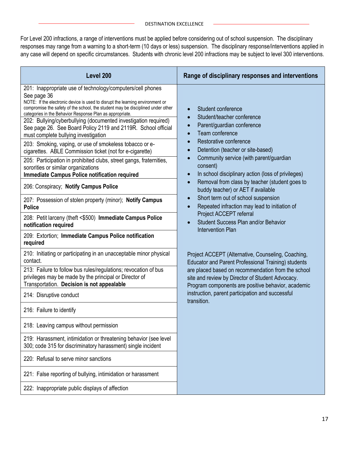For Level 200 infractions, a range of interventions must be applied before considering out of school suspension. The disciplinary responses may range from a warning to a short-term (10 days or less) suspension. The disciplinary response/interventions applied in any case will depend on specific circumstances. Students with chronic level 200 infractions may be subject to level 300 interventions.

| Level 200                                                                                                                                                                                                                                                                                                                                                                                                                                                                                                                                                                                                                                                                                                                                                                          | Range of disciplinary responses and interventions                                                                                                                                                                                                                                                                                                                        |
|------------------------------------------------------------------------------------------------------------------------------------------------------------------------------------------------------------------------------------------------------------------------------------------------------------------------------------------------------------------------------------------------------------------------------------------------------------------------------------------------------------------------------------------------------------------------------------------------------------------------------------------------------------------------------------------------------------------------------------------------------------------------------------|--------------------------------------------------------------------------------------------------------------------------------------------------------------------------------------------------------------------------------------------------------------------------------------------------------------------------------------------------------------------------|
| 201: Inappropriate use of technology/computers/cell phones<br>See page 36<br>NOTE: If the electronic device is used to disrupt the learning environment or<br>compromise the safety of the school, the student may be disciplined under other<br>categories in the Behavior Response Plan as appropriate.<br>202: Bullying/cyberbullying (documented investigation required)<br>See page 26. See Board Policy 2119 and 2119R. School official<br>must complete bullying investigation<br>203: Smoking, vaping, or use of smokeless tobacco or e-<br>cigarettes. ABLE Commission ticket (not for e-cigarette)<br>205: Participation in prohibited clubs, street gangs, fraternities,<br>sororities or similar organizations<br><b>Immediate Campus Police notification required</b> | Student conference<br>Student/teacher conference<br>$\bullet$<br>Parent/guardian conference<br>$\bullet$<br>Team conference<br>$\bullet$<br>Restorative conference<br>$\bullet$<br>Detention (teacher or site-based)<br>$\bullet$<br>Community service (with parent/guardian<br>$\bullet$<br>consent)<br>In school disciplinary action (loss of privileges)<br>$\bullet$ |
| 206: Conspiracy; Notify Campus Police<br>207: Possession of stolen property (minor); Notify Campus                                                                                                                                                                                                                                                                                                                                                                                                                                                                                                                                                                                                                                                                                 | Removal from class by teacher (student goes to<br>$\bullet$<br>buddy teacher) or AET if available<br>Short term out of school suspension<br>$\bullet$                                                                                                                                                                                                                    |
| <b>Police</b><br>208: Petit larceny (theft <\$500) Immediate Campus Police<br>notification required                                                                                                                                                                                                                                                                                                                                                                                                                                                                                                                                                                                                                                                                                | Repeated infraction may lead to initiation of<br>$\bullet$<br>Project ACCEPT referral<br>Student Success Plan and/or Behavior<br>$\bullet$                                                                                                                                                                                                                               |
| 209: Extortion; Immediate Campus Police notification<br>required                                                                                                                                                                                                                                                                                                                                                                                                                                                                                                                                                                                                                                                                                                                   | <b>Intervention Plan</b>                                                                                                                                                                                                                                                                                                                                                 |
| 210: Initiating or participating in an unacceptable minor physical<br>contact.                                                                                                                                                                                                                                                                                                                                                                                                                                                                                                                                                                                                                                                                                                     | Project ACCEPT (Alternative, Counseling, Coaching,<br>Educator and Parent Professional Training) students                                                                                                                                                                                                                                                                |
| 213: Failure to follow bus rules/regulations; revocation of bus<br>privileges may be made by the principal or Director of<br>Transportation. Decision is not appealable                                                                                                                                                                                                                                                                                                                                                                                                                                                                                                                                                                                                            | are placed based on recommendation from the school<br>site and review by Director of Student Advocacy.<br>Program components are positive behavior, academic                                                                                                                                                                                                             |
| 214: Disruptive conduct                                                                                                                                                                                                                                                                                                                                                                                                                                                                                                                                                                                                                                                                                                                                                            | instruction, parent participation and successful<br>transition.                                                                                                                                                                                                                                                                                                          |
| 216: Failure to identify                                                                                                                                                                                                                                                                                                                                                                                                                                                                                                                                                                                                                                                                                                                                                           |                                                                                                                                                                                                                                                                                                                                                                          |
| 218: Leaving campus without permission                                                                                                                                                                                                                                                                                                                                                                                                                                                                                                                                                                                                                                                                                                                                             |                                                                                                                                                                                                                                                                                                                                                                          |
| 219: Harassment, intimidation or threatening behavior (see level<br>300; code 315 for discriminatory harassment) single incident                                                                                                                                                                                                                                                                                                                                                                                                                                                                                                                                                                                                                                                   |                                                                                                                                                                                                                                                                                                                                                                          |
| 220: Refusal to serve minor sanctions                                                                                                                                                                                                                                                                                                                                                                                                                                                                                                                                                                                                                                                                                                                                              |                                                                                                                                                                                                                                                                                                                                                                          |
| 221: False reporting of bullying, intimidation or harassment                                                                                                                                                                                                                                                                                                                                                                                                                                                                                                                                                                                                                                                                                                                       |                                                                                                                                                                                                                                                                                                                                                                          |
| 222: Inappropriate public displays of affection                                                                                                                                                                                                                                                                                                                                                                                                                                                                                                                                                                                                                                                                                                                                    |                                                                                                                                                                                                                                                                                                                                                                          |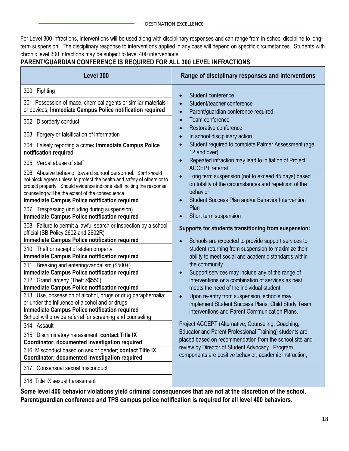For Level 300 infractions, interventions will be used along with disciplinary responses and can range from in-school discipline to longterm suspension. The disciplinary response to interventions applied in any case will depend on specific circumstances. Students with chronic level 300 infractions may be subject to level 400 interventions.

#### **PARENT/GUARDIAN CONFERENCE IS REQUIRED FOR ALL 300 LEVEL INFRACTIONS**

| Level 300                                                                                                                                                                                                                                                                                                                       | Range of disciplinary responses and interventions                                                                                                                                          |
|---------------------------------------------------------------------------------------------------------------------------------------------------------------------------------------------------------------------------------------------------------------------------------------------------------------------------------|--------------------------------------------------------------------------------------------------------------------------------------------------------------------------------------------|
| 300: Fighting                                                                                                                                                                                                                                                                                                                   | Student conference<br>$\bullet$                                                                                                                                                            |
| 301: Possession of mace, chemical agents or similar materials<br>or devices; Immediate Campus Police notification required                                                                                                                                                                                                      | Student/teacher conference<br>$\bullet$<br>Parent/guardian conference required<br>$\bullet$                                                                                                |
| 302: Disorderly conduct                                                                                                                                                                                                                                                                                                         | Team conference<br>$\bullet$<br>Restorative conference                                                                                                                                     |
| 303: Forgery or falsification of information                                                                                                                                                                                                                                                                                    | In school disciplinary action<br>$\bullet$                                                                                                                                                 |
| 304: Falsely reporting a crime; Immediate Campus Police<br>notification required                                                                                                                                                                                                                                                | Student required to complete Palmer Assessment (age<br>$\bullet$<br>12 and over)                                                                                                           |
| 305: Verbal abuse of staff                                                                                                                                                                                                                                                                                                      | Repeated infraction may lead to initiation of Project<br>$\bullet$<br><b>ACCEPT</b> referral                                                                                               |
| 306: Abusive behavior toward school personnel. Staff should<br>not block egress unless to protect the health and safety of others or to<br>protect property. Should evidence indicate staff inciting the response,<br>counseling will be the extent of the consequence.<br><b>Immediate Campus Police notification required</b> | Long term suspension (not to exceed 45 days) based<br>$\bullet$<br>on totality of the circumstances and repetition of the<br>behavior<br>Student Success Plan and/or Behavior Intervention |
| 307: Trespassing (including during suspension)<br><b>Immediate Campus Police notification required</b>                                                                                                                                                                                                                          | Plan<br>Short term suspension                                                                                                                                                              |
| 308: Failure to permit a lawful search or inspection by a school<br>official (SB Policy 2602 and 2602R)<br><b>Immediate Campus Police notification required</b>                                                                                                                                                                 | Supports for students transitioning from suspension:                                                                                                                                       |
| 310: Theft or receipt of stolen property<br><b>Immediate Campus Police notification required</b>                                                                                                                                                                                                                                | Schools are expected to provide support services to<br>student returning from suspension to maximize their<br>ability to meet social and academic standards within                         |
| 311: Breaking and entering/vandalism (\$500+)<br><b>Immediate Campus Police notification required</b>                                                                                                                                                                                                                           | the community<br>Support services may include any of the range of<br>$\bullet$                                                                                                             |
| 312: Grand larceny (Theft >\$550)<br><b>Immediate Campus Police notification required</b>                                                                                                                                                                                                                                       | interventions or a combination of services as best<br>meets the need of the individual student                                                                                             |
| 313: Use, possession of alcohol, drugs or drug paraphernalia;<br>or under the influence of alcohol and or drugs<br><b>Immediate Campus Police notification required</b><br>School will provide referral for screening and counseling                                                                                            | Upon re-entry from suspension, schools may<br>$\bullet$<br>implement Student Success Plans, Child Study Team<br>interventions and Parent Communication Plans.                              |
| 314: Assault                                                                                                                                                                                                                                                                                                                    | Project ACCEPT (Alternative, Counseling, Coaching,                                                                                                                                         |
| 315: Discriminatory harassment; contact Title IX<br>Coordinator; documented investigation required                                                                                                                                                                                                                              | Educator and Parent Professional Training) students are<br>placed based on recommendation from the school site and                                                                         |
| 316: Misconduct based on sex or gender; contact Title IX<br>Coordinator; documented investigation required                                                                                                                                                                                                                      | review by Director of Student Advocacy. Program<br>components are positive behavior, academic instruction,                                                                                 |
| 317: Consensual sexual misconduct                                                                                                                                                                                                                                                                                               |                                                                                                                                                                                            |
| 318: Title IX sexual harassment                                                                                                                                                                                                                                                                                                 |                                                                                                                                                                                            |

**Some level 400 behavior violations yield criminal consequences that are not at the discretion of the school. Parent/guardian conference and TPS campus police notification is required for all level 400 behaviors.**

×.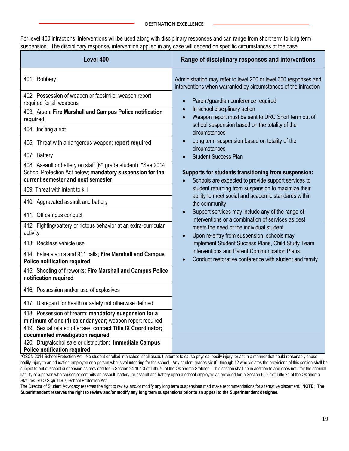For level 400 infractions, interventions will be used along with disciplinary responses and can range from short term to long term suspension. The disciplinary response/ intervention applied in any case will depend on specific circumstances of the case.

\*OSCN 2014 School Protection Act: No student enrolled in a school shall assault, attempt to cause physical bodily injury, or act in a manner that could reasonably cause bodily injury to an education employee or a person who is volunteering for the school. Any student grades six (6) through 12 who violates the provisions of this section shall be subject to out of school suspension as provided for in Section 24-101.3 of Title 70 of the Oklahoma Statutes. This section shall be in addition to and does not limit the criminal liability of a person who causes or commits an assault, battery, or assault and battery upon a school employee as provided for in Section 650.7 of Title 21 of the Oklahoma Statutes. 70 O.S. §6-149.7. School Protection Act.

The Director of Student Advocacy reserves the right to review and/or modify any long term suspensions mad make recommendations for alternative placement. **NOTE: The Superintendent reserves the right to review and/or modify any long term suspensions prior to an appeal to the Superintendent designee.**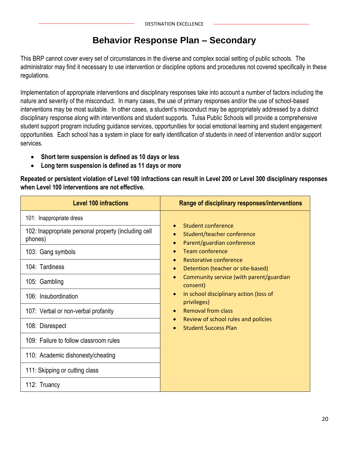## **Behavior Response Plan – Secondary**

This BRP cannot cover every set of circumstances in the diverse and complex social setting of public schools. The administrator may find it necessary to use intervention or discipline options and procedures not covered specifically in these regulations.

Implementation of appropriate interventions and disciplinary responses take into account a number of factors including the nature and severity of the misconduct. In many cases, the use of primary responses and/or the use of school-based interventions may be most suitable. In other cases, a student's misconduct may be appropriately addressed by a district disciplinary response along with interventions and student supports. Tulsa Public Schools will provide a comprehensive student support program including guidance services, opportunities for social emotional learning and student engagement opportunities. Each school has a system in place for early identification of students in need of intervention and/or support services.

- **Short term suspension is defined as 10 days or less**
- **Long term suspension is defined as 11 days or more**

**Repeated or persistent violation of Level 100 infractions can result in Level 200 or Level 300 disciplinary responses when Level 100 interventions are not effective.**

| <b>Level 100 infractions</b>                                    | Range of disciplinary responses/interventions                                               |
|-----------------------------------------------------------------|---------------------------------------------------------------------------------------------|
| 101: Inappropriate dress                                        |                                                                                             |
| 102: Inappropriate personal property (including cell<br>phones) | Student conference<br>Student/teacher conference<br>Parent/guardian conference<br>$\bullet$ |
| 103: Gang symbols                                               | Team conference                                                                             |
| 104: Tardiness                                                  | Restorative conference<br>Detention (teacher or site-based)<br>$\bullet$                    |
| 105: Gambling                                                   | Community service (with parent/guardian<br>$\bullet$<br>consent)                            |
| 106: Insubordination                                            | In school disciplinary action (loss of<br>$\bullet$<br>privileges)                          |
| 107: Verbal or non-verbal profanity                             | <b>Removal from class</b><br>$\bullet$                                                      |
| 108: Disrespect                                                 | Review of school rules and policies<br><b>Student Success Plan</b>                          |
| 109: Failure to follow classroom rules                          |                                                                                             |
| 110: Academic dishonesty/cheating                               |                                                                                             |
| 111: Skipping or cutting class                                  |                                                                                             |
| 112: Truancy                                                    |                                                                                             |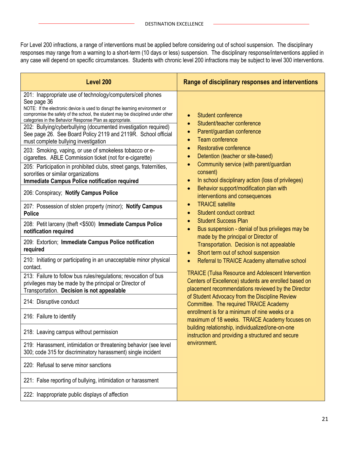For Level 200 infractions, a range of interventions must be applied before considering out of school suspension. The disciplinary responses may range from a warning to a short-term (10 days or less) suspension. The disciplinary response/interventions applied in any case will depend on specific circumstances. Students with chronic level 200 infractions may be subject to level 300 interventions.

| Level 200                                                                                                                                                                                                                                                                                                                                                                                                                                                                                                                                                                                                    | Range of disciplinary responses and interventions                                                                                                                                                                                                     |
|--------------------------------------------------------------------------------------------------------------------------------------------------------------------------------------------------------------------------------------------------------------------------------------------------------------------------------------------------------------------------------------------------------------------------------------------------------------------------------------------------------------------------------------------------------------------------------------------------------------|-------------------------------------------------------------------------------------------------------------------------------------------------------------------------------------------------------------------------------------------------------|
| 201: Inappropriate use of technology/computers/cell phones<br>See page 36<br>NOTE: If the electronic device is used to disrupt the learning environment or<br>compromise the safety of the school, the student may be disciplined under other<br>categories in the Behavior Response Plan as appropriate.<br>202: Bullying/cyberbullying (documented investigation required)<br>See page 26. See Board Policy 2119 and 2119R. School official<br>must complete bullying investigation<br>203: Smoking, vaping, or use of smokeless tobacco or e-<br>cigarettes. ABLE Commission ticket (not for e-cigarette) | Student conference<br>$\bullet$<br>Student/teacher conference<br>$\bullet$<br>Parent/guardian conference<br>$\bullet$<br><b>Team conference</b><br>$\bullet$<br>Restorative conference<br>$\bullet$<br>Detention (teacher or site-based)<br>$\bullet$ |
| 205: Participation in prohibited clubs, street gangs, fraternities,<br>sororities or similar organizations<br><b>Immediate Campus Police notification required</b>                                                                                                                                                                                                                                                                                                                                                                                                                                           | Community service (with parent/guardian<br>$\bullet$<br>consent)<br>In school disciplinary action (loss of privileges)<br>$\bullet$                                                                                                                   |
| 206: Conspiracy; Notify Campus Police                                                                                                                                                                                                                                                                                                                                                                                                                                                                                                                                                                        | Behavior support/modification plan with<br>$\bullet$<br>interventions and consequences                                                                                                                                                                |
| 207: Possession of stolen property (minor); Notify Campus<br><b>Police</b>                                                                                                                                                                                                                                                                                                                                                                                                                                                                                                                                   | <b>TRAICE</b> satellite<br>$\bullet$<br>Student conduct contract<br>$\bullet$                                                                                                                                                                         |
| 208: Petit larceny (theft <\$500) Immediate Campus Police<br>notification required                                                                                                                                                                                                                                                                                                                                                                                                                                                                                                                           | <b>Student Success Plan</b><br>$\bullet$<br>Bus suspension - denial of bus privileges may be<br>$\bullet$                                                                                                                                             |
| 209: Extortion; Immediate Campus Police notification<br>required                                                                                                                                                                                                                                                                                                                                                                                                                                                                                                                                             | made by the principal or Director of<br>Transportation. Decision is not appealable<br>Short term out of school suspension<br>$\bullet$                                                                                                                |
| 210: Initiating or participating in an unacceptable minor physical<br>contact.                                                                                                                                                                                                                                                                                                                                                                                                                                                                                                                               | Referral to TRAICE Academy alternative school<br>$\bullet$                                                                                                                                                                                            |
| 213: Failure to follow bus rules/regulations; revocation of bus<br>privileges may be made by the principal or Director of<br>Transportation. Decision is not appealable                                                                                                                                                                                                                                                                                                                                                                                                                                      | <b>TRAICE (Tulsa Resource and Adolescent Intervention</b><br>Centers of Excellence) students are enrolled based on<br>placement recommendations reviewed by the Director                                                                              |
| 214: Disruptive conduct                                                                                                                                                                                                                                                                                                                                                                                                                                                                                                                                                                                      | of Student Advocacy from the Discipline Review<br>Committee. The required TRAICE Academy                                                                                                                                                              |
| 216: Failure to identify                                                                                                                                                                                                                                                                                                                                                                                                                                                                                                                                                                                     | enrollment is for a minimum of nine weeks or a<br>maximum of 18 weeks. TRAICE Academy focuses on                                                                                                                                                      |
| 218: Leaving campus without permission                                                                                                                                                                                                                                                                                                                                                                                                                                                                                                                                                                       | building relationship, individualized/one-on-one<br>instruction and providing a structured and secure                                                                                                                                                 |
| 219: Harassment, intimidation or threatening behavior (see level<br>300; code 315 for discriminatory harassment) single incident                                                                                                                                                                                                                                                                                                                                                                                                                                                                             | environment.                                                                                                                                                                                                                                          |
| 220: Refusal to serve minor sanctions                                                                                                                                                                                                                                                                                                                                                                                                                                                                                                                                                                        |                                                                                                                                                                                                                                                       |
| 221: False reporting of bullying, intimidation or harassment                                                                                                                                                                                                                                                                                                                                                                                                                                                                                                                                                 |                                                                                                                                                                                                                                                       |
| 222: Inappropriate public displays of affection                                                                                                                                                                                                                                                                                                                                                                                                                                                                                                                                                              |                                                                                                                                                                                                                                                       |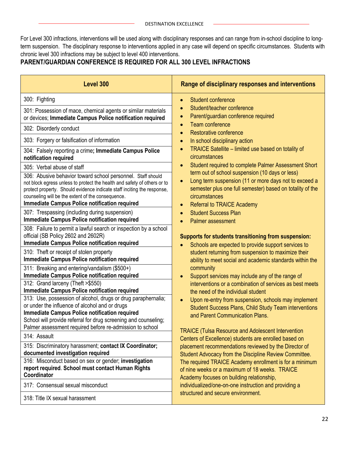For Level 300 infractions, interventions will be used along with disciplinary responses and can range from in-school discipline to longterm suspension. The disciplinary response to interventions applied in any case will depend on specific circumstances. Students with chronic level 300 infractions may be subject to level 400 interventions.

#### **PARENT/GUARDIAN CONFERENCE IS REQUIRED FOR ALL 300 LEVEL INFRACTIONS**

| Level 300                                                                                                                                                                                                                                                                                                                                                                                                                                                                                                                                             | Range of disciplinary responses and interventions                                                                                                                                                                                                                                                                                                                                                                                                                       |
|-------------------------------------------------------------------------------------------------------------------------------------------------------------------------------------------------------------------------------------------------------------------------------------------------------------------------------------------------------------------------------------------------------------------------------------------------------------------------------------------------------------------------------------------------------|-------------------------------------------------------------------------------------------------------------------------------------------------------------------------------------------------------------------------------------------------------------------------------------------------------------------------------------------------------------------------------------------------------------------------------------------------------------------------|
| 300: Fighting<br>301: Possession of mace, chemical agents or similar materials<br>or devices; Immediate Campus Police notification required<br>302: Disorderly conduct<br>303: Forgery or falsification of information<br>304: Falsely reporting a crime; Immediate Campus Police<br>notification required                                                                                                                                                                                                                                            | <b>Student conference</b><br>$\bullet$<br>Student/teacher conference<br>Parent/guardian conference required<br>$\bullet$<br>Team conference<br>$\bullet$<br>Restorative conference<br>$\bullet$<br>In school disciplinary action<br>$\bullet$<br>TRAICE Satellite - limited use based on totality of<br>$\bullet$<br>circumstances                                                                                                                                      |
| 305: Verbal abuse of staff<br>306: Abusive behavior toward school personnel. Staff should<br>not block egress unless to protect the health and safety of others or to<br>protect property. Should evidence indicate staff inciting the response,<br>counseling will be the extent of the consequence.<br><b>Immediate Campus Police notification required</b>                                                                                                                                                                                         | Student required to complete Palmer Assessment Short<br>$\bullet$<br>term out of school suspension (10 days or less)<br>Long term suspension (11 or more days not to exceed a<br>$\bullet$<br>semester plus one full semester) based on totality of the<br>circumstances<br><b>Referral to TRAICE Academy</b><br>$\bullet$                                                                                                                                              |
| 307: Trespassing (including during suspension)<br><b>Immediate Campus Police notification required</b><br>308: Failure to permit a lawful search or inspection by a school<br>official (SB Policy 2602 and 2602R)<br><b>Immediate Campus Police notification required</b>                                                                                                                                                                                                                                                                             | <b>Student Success Plan</b><br>$\bullet$<br><b>Palmer assessment</b><br>Supports for students transitioning from suspension:<br>Schools are expected to provide support services to                                                                                                                                                                                                                                                                                     |
| 310: Theft or receipt of stolen property<br><b>Immediate Campus Police notification required</b><br>311: Breaking and entering/vandalism (\$500+)<br><b>Immediate Campus Police notification required</b><br>312: Grand larceny (Theft > \$550)<br><b>Immediate Campus Police notification required</b><br>313: Use, possession of alcohol, drugs or drug paraphernalia;<br>or under the influence of alcohol and or drugs<br><b>Immediate Campus Police notification required</b><br>School will provide referral for drug screening and counseling; | student returning from suspension to maximize their<br>ability to meet social and academic standards within the<br>community<br>Support services may include any of the range of<br>$\bullet$<br>interventions or a combination of services as best meets<br>the need of the individual student<br>Upon re-entry from suspension, schools may implement<br>$\bullet$<br><b>Student Success Plans, Child Study Team interventions</b><br>and Parent Communication Plans. |
| Palmer assessment required before re-admission to school<br>314: Assault                                                                                                                                                                                                                                                                                                                                                                                                                                                                              | <b>TRAICE (Tulsa Resource and Adolescent Intervention</b><br>Centers of Excellence) students are enrolled based on                                                                                                                                                                                                                                                                                                                                                      |
| 315: Discriminatory harassment; contact IX Coordinator;<br>documented investigation required<br>316: Misconduct based on sex or gender; investigation<br>report required. School must contact Human Rights<br>Coordinator<br>317: Consensual sexual misconduct                                                                                                                                                                                                                                                                                        | placement recommendations reviewed by the Director of<br>Student Advocacy from the Discipline Review Committee.<br>The required TRAICE Academy enrollment is for a minimum<br>of nine weeks or a maximum of 18 weeks. TRAICE<br>Academy focuses on building relationship,<br>individualized/one-on-one instruction and providing a                                                                                                                                      |
| 318: Title IX sexual harassment                                                                                                                                                                                                                                                                                                                                                                                                                                                                                                                       | structured and secure environment.                                                                                                                                                                                                                                                                                                                                                                                                                                      |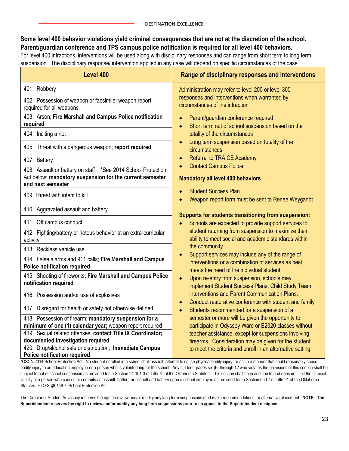#### **Some level 400 behavior violations yield criminal consequences that are not at the discretion of the school. Parent/guardian conference and TPS campus police notification is required for all level 400 behaviors.**

For level 400 infractions, interventions will be used along with disciplinary responses and can range from short term to long term suspension. The disciplinary response/ intervention applied in any case will depend on specific circumstances of the case.

| Level 400                                                                                                                                      | Range of disciplinary responses and interventions                                                                                                  |
|------------------------------------------------------------------------------------------------------------------------------------------------|----------------------------------------------------------------------------------------------------------------------------------------------------|
| 401: Robbery                                                                                                                                   | Administration may refer to level 200 or level 300                                                                                                 |
| 402: Possession of weapon or facsimile; weapon report<br>required for all weapons                                                              | responses and interventions when warranted by<br>circumstances of the infraction                                                                   |
| 403: Arson; Fire Marshall and Campus Police notification<br>required                                                                           | Parent/guardian conference required<br>$\bullet$<br>Short term out of school suspension based on the                                               |
| 404: Inciting a riot                                                                                                                           | totality of the circumstances                                                                                                                      |
| 405: Threat with a dangerous weapon; report required                                                                                           | Long term suspension based on totality of the<br>circumstances                                                                                     |
| 407: Battery                                                                                                                                   | <b>Referral to TRAICE Academy</b><br>$\bullet$                                                                                                     |
| 408: Assault or battery on staff; *See 2014 School Protection<br>Act below; mandatory suspension for the current semester<br>and next semester | <b>Contact Campus Police</b><br><b>Mandatory all level 400 behaviors</b>                                                                           |
| 409: Threat with intent to kill                                                                                                                | <b>Student Success Plan</b><br>Weapon report form must be sent to Renee Weygandt                                                                   |
| 410: Aggravated assault and battery                                                                                                            |                                                                                                                                                    |
| 411: Off campus conduct                                                                                                                        | Supports for students transitioning from suspension:<br>Schools are expected to provide support services to                                        |
| 412: Fighting/battery or riotous behavior at an extra-curricular<br>activity                                                                   | student returning from suspension to maximize their<br>ability to meet social and academic standards within                                        |
| 413: Reckless vehicle use                                                                                                                      | the community                                                                                                                                      |
| 414: False alarms and 911 calls; Fire Marshall and Campus<br><b>Police notification required</b>                                               | Support services may include any of the range of<br>interventions or a combination of services as best<br>meets the need of the individual student |
| 415: Shooting of fireworks; Fire Marshall and Campus Police<br>notification required                                                           | Upon re-entry from suspension, schools may<br>$\bullet$<br>implement Student Success Plans, Child Study Team                                       |
| 416: Possession and/or use of explosives                                                                                                       | interventions and Parent Communication Plans.                                                                                                      |
| 417: Disregard for health or safety not otherwise defined                                                                                      | Conduct restorative conference with student and family<br>$\bullet$<br>Students recommended for a suspension of a<br>$\bullet$                     |
| 418: Possession of firearm; mandatory suspension for a<br>minimum of one (1) calendar year; weapon report required                             | semester or more will be given the opportunity to<br>participate in Odyssey Ware or E2020 classes without                                          |
| 419: Sexual related offenses; contact Title IX Coordinator;<br>documented investigation required                                               | teacher assistance, except for suspensions involving<br>firearms. Consideration may be given for the student                                       |
| 420: Drug/alcohol sale or distribution; Immediate Campus<br><b>Police notification required</b>                                                | to meet the criteria and enroll in an alternative setting.                                                                                         |

\*OSCN 2014 School Protection Act: No student enrolled in a school shall assault, attempt to cause physical bodily injury, or act in a manner that could reasonably cause bodily injury to an education employee or a person who is volunteering for the school. Any student grades six (6) through 12 who violates the provisions of this section shall be subject to out of school suspension as provided for in Section 24-101.3 of Title 70 of the Oklahoma Statutes. This section shall be in addition to and does not limit the criminal liability of a person who causes or commits an assault, batter,, or assault and battery upon a school employee as provided for in Section 650.7 of Title 21 of the Oklahoma Statutes. 70 O.S.§6-149.7, School Protection Act.

The Director of Student Advocacy reserves the right to review and/or modify any long term suspensions mad make recommendations for alternative placement. **NOTE: The Superintendent reserves the right to review and/or modify any long term suspensions prior to an appeal to the Superintendent designee.**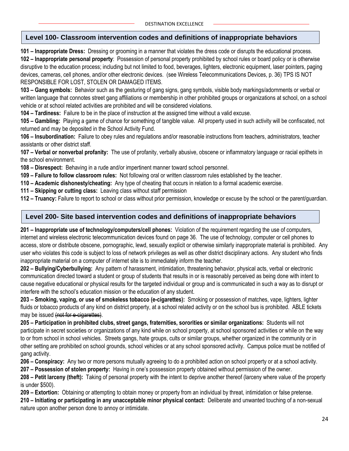#### **Level 100- Classroom intervention codes and definitions of inappropriate behaviors**

**101 – Inappropriate Dress:** Dressing or grooming in a manner that violates the dress code or disrupts the educational process. **102 – Inappropriate personal property**: Possession of personal property prohibited by school rules or board policy or is otherwise disruptive to the education process; including but not limited to food, beverages, lighters, electronic equipment, laser pointers, paging devices, cameras, cell phones, and/or other electronic devices. (see Wireless Telecommunications Devices, p. 36) TPS IS NOT RESPONSIBLE FOR LOST, STOLEN OR DAMAGED ITEMS.

**103 – Gang symbols:** Behavior such as the gesturing of gang signs, gang symbols, visible body markings/adornments or verbal or written language that connotes street gang affiliations or membership in other prohibited groups or organizations at school, on a school vehicle or at school related activities are prohibited and will be considered violations.

**104 – Tardiness:** Failure to be in the place of instruction at the assigned time without a valid excuse.

**105 – Gambling:** Playing a game of chance for something of tangible value. All property used in such activity will be confiscated, not returned and may be deposited in the School Activity Fund.

**106 – Insubordination:** Failure to obey rules and regulations and/or reasonable instructions from teachers, administrators, teacher assistants or other district staff.

**107 – Verbal or nonverbal profanity:** The use of profanity, verbally abusive, obscene or inflammatory language or racial epithets in the school environment.

**108 – Disrespect:** Behaving in a rude and/or impertinent manner toward school personnel.

**109 – Failure to follow classroom rules:** Not following oral or written classroom rules established by the teacher.

**110 – Academic dishonesty/cheating:** Any type of cheating that occurs in relation to a formal academic exercise.

**111 – Skipping or cutting class:** Leaving class without staff permission

**112 – Truancy:** Failure to report to school or class without prior permission, knowledge or excuse by the school or the parent/guardian.

#### **Level 200- Site based intervention codes and definitions of inappropriate behaviors**

**201 – Inappropriate use of technology/computers/cell phones:** Violation of the requirement regarding the use of computers, internet and wireless electronic telecommunication devices found on page 36. The use of technology, computer or cell phones to access, store or distribute obscene, pornographic, lewd, sexually explicit or otherwise similarly inappropriate material is prohibited. Any user who violates this code is subject to loss of network privileges as well as other district disciplinary actions. Any student who finds inappropriate material on a computer of internet site is to immediately inform the teacher.

**202 – Bullying/Cyberbullying:** Any pattern of harassment, intimidation, threatening behavior, physical acts, verbal or electronic communication directed toward a student or group of students that results in or is reasonably perceived as being done with intent to cause negative educational or physical results for the targeted individual or group and is communicated in such a way as to disrupt or interfere with the school's education mission or the education of any student.

**203 – Smoking, vaping, or use of smokeless tobacco (e-cigarettes):** Smoking or possession of matches, vape, lighters, lighter fluids or tobacco products of any kind on district property, at a school related activity or on the school bus is prohibited. ABLE tickets may be issued (not for e-cigarettes).

**205 – Participation in prohibited clubs, street gangs, fraternities, sororities or similar organizations:** Students will not participate in secret societies or organizations of any kind while on school property, at school sponsored activities or while on the way to or from school in school vehicles. Streets gangs, hate groups, cults or similar groups, whether organized in the community or in other setting are prohibited on school grounds, school vehicles or at any school sponsored activity. Campus police must be notified of gang activity.

**206 – Conspiracy:** Any two or more persons mutually agreeing to do a prohibited action on school property or at a school activity.

**207 – Possession of stolen property:** Having in one's possession property obtained without permission of the owner.

**208 – Petit larceny (theft):** Taking of personal property with the intent to deprive another thereof (larceny where value of the property is under \$500).

**209 – Extortion:** Obtaining or attempting to obtain money or property from an individual by threat, intimidation or false pretense.

**210 – Initiating or participating in any unacceptable minor physical contact:** Deliberate and unwanted touching of a non-sexual nature upon another person done to annoy or intimidate.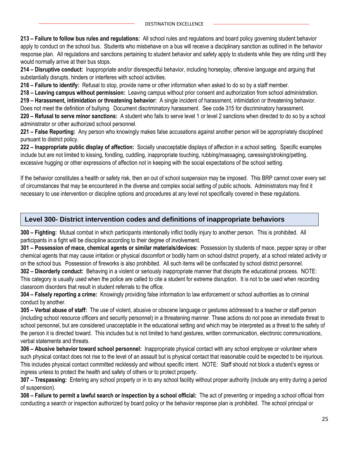**213 – Failure to follow bus rules and regulations:** All school rules and regulations and board policy governing student behavior apply to conduct on the school bus. Students who misbehave on a bus will receive a disciplinary sanction as outlined in the behavior response plan. All regulations and sanctions pertaining to student behavior and safety apply to students while they are riding until they would normally arrive at their bus stops.

**214 – Disruptive conduct:** Inappropriate and/or disrespectful behavior, including horseplay, offensive language and arguing that substantially disrupts, hinders or interferes with school activities.

**216 – Failure to identify:** Refusal to stop, provide name or other information when asked to do so by a staff member.

**218 – Leaving campus without permission:** Leaving campus without prior consent and authorization from school administration.

**219 – Harassment, intimidation or threatening behavior:** A single incident of harassment, intimidation or threatening behavior. Does not meet the definition of bullying. Document discriminatory harassment. See code 315 for discriminatory harassment. **220 – Refusal to serve minor sanctions:** A student who fails to serve level 1 or level 2 sanctions when directed to do so by a school administrator or other authorized school personnel.

**221 – False Reporting:** Any person who knowingly makes false accusations against another person will be appropriately disciplined pursuant to district policy.

**222 – Inappropriate public display of affection:** Socially unacceptable displays of affection in a school setting. Specific examples include but are not limited to kissing, fondling, cuddling, inappropriate touching, rubbing/massaging, caressing/stroking/petting, excessive hugging or other expressions of affection not in keeping with the social expectations of the school setting.

If the behavior constitutes a health or safety risk, then an out of school suspension may be imposed. This BRP cannot cover every set of circumstances that may be encountered in the diverse and complex social setting of public schools. Administrators may find it necessary to use intervention or discipline options and procedures at any level not specifically covered in these regulations.

#### **Level 300- District intervention codes and definitions of inappropriate behaviors**

**300 – Fighting:** Mutual combat in which participants intentionally inflict bodily injury to another person. This is prohibited. All participants in a fight will be discipline according to their degree of involvement.

**301 – Possession of mace, chemical agents or similar materials/devices:** Possession by students of mace, pepper spray or other chemical agents that may cause irritation or physical discomfort or bodily harm on school district property, at a school related activity or on the school bus. Possession of fireworks is also prohibited. All such items will be confiscated by school district personnel.

**302 – Disorderly conduct:** Behaving in a violent or seriously inappropriate manner that disrupts the educational process. NOTE: This category is usually used when the police are called to cite a student for extreme disruption. It is not to be used when recording classroom disorders that result in student referrals to the office.

**304 – Falsely reporting a crime:** Knowingly providing false information to law enforcement or school authorities as to criminal conduct by another.

**305 – Verbal abuse of staff:** The use of violent, abusive or obscene language or gestures addressed to a teacher or staff person (including school resource officers and security personnel) in a threatening manner. These actions do not pose an immediate threat to school personnel, but are considered unacceptable in the educational setting and which may be interpreted as a threat to the safety of the person it is directed toward. This includes but is not limited to hand gestures, written communication, electronic communications, verbal statements and threats.

**306 – Abusive behavior toward school personnel:** Inappropriate physical contact with any school employee or volunteer where such physical contact does not rise to the level of an assault but is physical contact that reasonable could be expected to be injurious. This includes physical contact committed recklessly and without specific intent. NOTE: Staff should not block a student's egress or ingress unless to protect the health and safety of others or to protect property.

**307 – Trespassing:** Entering any school property or in to any school facility without proper authority (include any entry during a period of suspension).

**308 – Failure to permit a lawful search or inspection by a school official:** The act of preventing or impeding a school official from conducting a search or inspection authorized by board policy or the behavior response plan is prohibited. The school principal or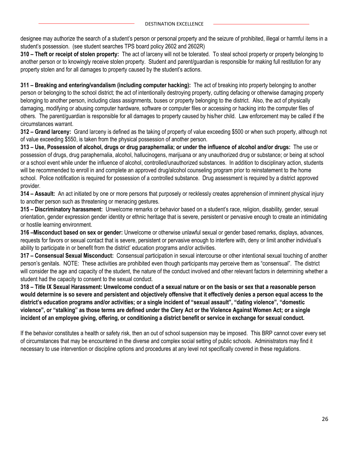designee may authorize the search of a student's person or personal property and the seizure of prohibited, illegal or harmful items in a student's possession. (see student searches TPS board policy 2602 and 2602R)

**310 – Theft or receipt of stolen property:** The act of larceny will not be tolerated. To steal school property or property belonging to another person or to knowingly receive stolen property. Student and parent/guardian is responsible for making full restitution for any property stolen and for all damages to property caused by the student's actions.

**311 – Breaking and entering/vandalism (including computer hacking):** The act of breaking into property belonging to another person or belonging to the school district; the act of intentionally destroying property, cutting defacing or otherwise damaging property belonging to another person, including class assignments, buses or property belonging to the district. Also, the act of physically damaging, modifying or abusing computer hardware, software or computer files or accessing or hacking into the computer files of others. The parent/guardian is responsible for all damages to property caused by his/her child. Law enforcement may be called if the circumstances warrant.

**312 – Grand larceny:** Grand larceny is defined as the taking of property of value exceeding \$500 or when such property, although not of value exceeding \$550, is taken from the physical possession of another person.

**313 – Use, Possession of alcohol, drugs or drug paraphernalia; or under the influence of alcohol and/or drugs:** The use or possession of drugs, drug paraphernalia, alcohol, hallucinogens, marijuana or any unauthorized drug or substance; or being at school or a school event while under the influence of alcohol, controlled/unauthorized substances. In addition to disciplinary action, students will be recommended to enroll in and complete an approved drug/alcohol counseling program prior to reinstatement to the home school. Police notification is required for possession of a controlled substance. Drug assessment is required by a district approved provider.

**314 – Assault:** An act initiated by one or more persons that purposely or recklessly creates apprehension of imminent physical injury to another person such as threatening or menacing gestures.

**315 – Discriminatory harassment:** Unwelcome remarks or behavior based on a student's race, religion, disability, gender, sexual orientation, gender expression gender identity or ethnic heritage that is severe, persistent or pervasive enough to create an intimidating or hostile learning environment.

**316 –Misconduct based on sex or gender:** Unwelcome or otherwise unlawful sexual or gender based remarks, displays, advances, requests for favors or sexual contact that is severe, persistent or pervasive enough to interfere with, deny or limit another individual's ability to participate in or benefit from the district' education programs and/or activities.

**317 – Consensual Sexual Misconduct:** Consensual participation in sexual intercourse or other intentional sexual touching of another person's genitals. NOTE: These activities are prohibited even though participants may perceive them as "consensual". The district will consider the age and capacity of the student, the nature of the conduct involved and other relevant factors in determining whether a student had the capacity to consent to the sexual conduct.

**318 – Title IX Sexual Harassment: Unwelcome conduct of a sexual nature or on the basis or sex that a reasonable person would determine is so severe and persistent and objectively offensive that it effectively denies a person equal access to the district's education programs and/or activities; or a single incident of "sexual assault", "dating violence", "domestic violence", or "stalking" as those terms are defined under the Clery Act or the Violence Against Women Act; or a single incident of an employee giving, offering, or conditioning a district benefit or service in exchange for sexual conduct.**

If the behavior constitutes a health or safety risk, then an out of school suspension may be imposed. This BRP cannot cover every set of circumstances that may be encountered in the diverse and complex social setting of public schools. Administrators may find it necessary to use intervention or discipline options and procedures at any level not specifically covered in these regulations.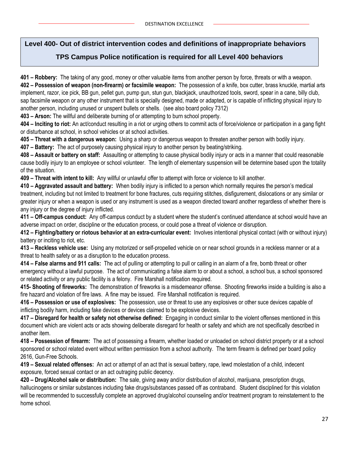#### **Level 400- Out of district intervention codes and definitions of inappropriate behaviors**

#### **TPS Campus Police notification is required for all Level 400 behaviors**

**401 – Robbery:** The taking of any good, money or other valuable items from another person by force, threats or with a weapon. **402 – Possession of weapon (non-firearm) or facsimile weapon:** The possession of a knife, box cutter, brass knuckle, martial arts implement, razor, ice pick, BB gun, pellet gun, pump gun, stun gun, blackjack, unauthorized tools, sword, spear in a cane, billy club, sap facsimile weapon or any other instrument that is specially designed, made or adapted, or is capable of inflicting physical injury to another person, including unused or unspent bullets or shells. (see also board policy 7312)

**403 – Arson:** The willful and deliberate burning of or attempting to burn school property.

**404 – Inciting to riot:** An act/conduct resulting in a riot or urging others to commit acts of force/violence or participation in a gang fight or disturbance at school, in school vehicles or at school activities.

**405 – Threat with a dangerous weapon:** Using a sharp or dangerous weapon to threaten another person with bodily injury.

**407 – Battery:** The act of purposely causing physical injury to another person by beating/striking.

**408 – Assault or battery on staff:** Assaulting or attempting to cause physical bodily injury or acts in a manner that could reasonable cause bodily injury to an employee or school volunteer. The length of elementary suspension will be determine based upon the totality of the situation.

**409 – Threat with intent to kill:** Any willful or unlawful offer to attempt with force or violence to kill another.

**410 – Aggravated assault and battery:** When bodily injury is inflicted to a person which normally requires the person's medical treatment, including but not limited to treatment for bone fractures, cuts requiring stitches, disfigurement, dislocations or any similar or greater injury or when a weapon is used or any instrument is used as a weapon directed toward another regardless of whether there is any injury or the degree of injury inflicted.

**411 – Off-campus conduct:** Any off-campus conduct by a student where the student's continued attendance at school would have an adverse impact on order, discipline or the education process, or could pose a threat of violence or disruption.

**412 – Fighting/battery or riotous behavior at an extra-curricular event:** Involves intentional physical contact (with or without injury) battery or inciting to riot, etc.

**413 – Reckless vehicle use:** Using any motorized or self-propelled vehicle on or near school grounds in a reckless manner or at a threat to health safety or as a disruption to the education process.

**414 – False alarms and 911 calls:** The act of pulling or attempting to pull or calling in an alarm of a fire, bomb threat or other emergency without a lawful purpose. The act of communicating a false alarm to or about a school, a school bus, a school sponsored or related activity or any public facility is a felony. Fire Marshall notification required.

**415- Shooting of fireworks:** The demonstration of fireworks is a misdemeanor offense. Shooting fireworks inside a building is also a fire hazard and violation of fire laws. A fine may be issued. Fire Marshall notification is required.

**416 – Possession or use of explosives:** The possession, use or threat to use any explosives or other suce devices capable of inflicting bodily harm, including fake devices or devices claimed to be explosive devices.

**417 – Disregard for health or safety not otherwise defined:** Engaging in conduct similar to the violent offenses mentioned in this document which are violent acts or acts showing deliberate disregard for health or safety and which are not specifically described in another item.

**418 – Possession of firearm:** The act of possessing a firearm, whether loaded or unloaded on school district property or at a school sponsored or school related event without written permission from a school authority. The term firearm is defined per board policy 2616, Gun-Free Schools.

**419 – Sexual related offenses:** An act or attempt of an act that is sexual battery, rape, lewd molestation of a child, indecent exposure, forced sexual contact or an act outraging public decency.

**420 – Drug/Alcohol sale or distribution:** The sale, giving away and/or distribution of alcohol, marijuana, prescription drugs, hallucinogens or similar substances including fake drugs/substances passed off as contraband. Student disciplined for this violation will be recommended to successfully complete an approved drug/alcohol counseling and/or treatment program to reinstatement to the home school.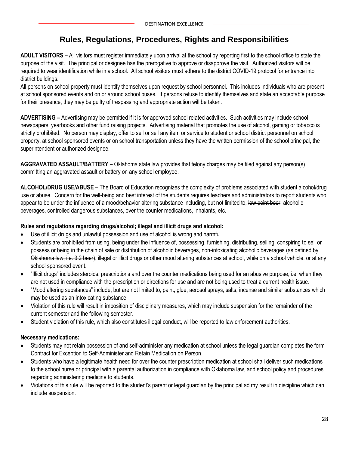## **Rules, Regulations, Procedures, Rights and Responsibilities**

**ADULT VISITORS –** All visitors must register immediately upon arrival at the school by reporting first to the school office to state the purpose of the visit. The principal or designee has the prerogative to approve or disapprove the visit. Authorized visitors will be required to wear identification while in a school. All school visitors must adhere to the district COVID-19 protocol for entrance into district buildings.

All persons on school property must identify themselves upon request by school personnel. This includes individuals who are present at school sponsored events and on or around school buses. If persons refuse to identify themselves and state an acceptable purpose for their presence, they may be guilty of trespassing and appropriate action will be taken.

**ADVERTISING –** Advertising may be permitted if it is for approved school related activities. Such activities may include school newspapers, yearbooks and other fund raising projects. Advertising material that promotes the use of alcohol, gaming or tobacco is strictly prohibited. No person may display, offer to sell or sell any item or service to student or school district personnel on school property, at school sponsored events or on school transportation unless they have the written permission of the school principal, the superintendent or authorized designee.

**AGGRAVATED ASSAULT/BATTERY –** Oklahoma state law provides that felony charges may be filed against any person(s) committing an aggravated assault or battery on any school employee.

**ALCOHOL/DRUG USE/ABUSE –** The Board of Education recognizes the complexity of problems associated with student alcohol/drug use or abuse. Concern for the well-being and best interest of the students requires teachers and administrators to report students who appear to be under the influence of a mood/behavior altering substance including, but not limited to, low point beer, alcoholic beverages, controlled dangerous substances, over the counter medications, inhalants, etc.

#### **Rules and regulations regarding drugs/alcohol; illegal and illicit drugs and alcohol:**

- Use of illicit drugs and unlawful possession and use of alcohol is wrong and harmful
- Students are prohibited from using, being under the influence of, possessing, furnishing, distributing, selling, conspiring to sell or possess or being in the chain of sale or distribution of alcoholic beverages, non-intoxicating alcoholic beverages (as defined by Oklahoma law, i.e. 3.2 beer), illegal or illicit drugs or other mood altering substances at school, while on a school vehicle, or at any school sponsored event.
- "Illicit drugs" includes steroids, prescriptions and over the counter medications being used for an abusive purpose, i.e. when they are not used in compliance with the prescription or directions for use and are not being used to treat a current health issue.
- "Mood altering substances" include, but are not limited to, paint, glue, aerosol sprays, salts, incense and similar substances which may be used as an intoxicating substance.
- Violation of this rule will result in imposition of disciplinary measures, which may include suspension for the remainder of the current semester and the following semester.
- Student violation of this rule, which also constitutes illegal conduct, will be reported to law enforcement authorities.

#### **Necessary medications:**

- Students may not retain possession of and self-administer any medication at school unless the legal guardian completes the form Contract for Exception to Self-Administer and Retain Medication on Person.
- Students who have a legitimate health need for over the counter prescription medication at school shall deliver such medications to the school nurse or principal with a parental authorization in compliance with Oklahoma law, and school policy and procedures regarding administering medicine to students.
- Violations of this rule will be reported to the student's parent or legal guardian by the principal ad my result in discipline which can include suspension.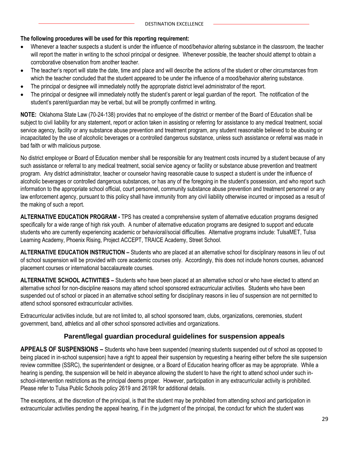#### **The following procedures will be used for this reporting requirement:**

- Whenever a teacher suspects a student is under the influence of mood/behavior altering substance in the classroom, the teacher will report the matter in writing to the school principal or designee. Whenever possible, the teacher should attempt to obtain a corroborative observation from another teacher.
- The teacher's report will state the date, time and place and will describe the actions of the student or other circumstances from which the teacher concluded that the student appeared to be under the influence of a mood/behavior altering substance.
- The principal or designee will immediately notify the appropriate district level administrator of the report.
- The principal or designee will immediately notify the student's parent or legal guardian of the report. The notification of the student's parent/guardian may be verbal, but will be promptly confirmed in writing.

**NOTE:** Oklahoma State Law (70-24-138) provides that no employee of the district or member of the Board of Education shall be subject to civil liability for any statement, report or action taken in assisting or referring for assistance to any medical treatment, social service agency, facility or any substance abuse prevention and treatment program, any student reasonable believed to be abusing or incapacitated by the use of alcoholic beverages or a controlled dangerous substance, unless such assistance or referral was made in bad faith or with malicious purpose.

No district employee or Board of Education member shall be responsible for any treatment costs incurred by a student because of any such assistance or referral to any medical treatment, social service agency or facility or substance abuse prevention and treatment program. Any district administrator, teacher or counselor having reasonable cause to suspect a student is under the influence of alcoholic beverages or controlled dangerous substances, or has any of the foregoing in the student's possession, and who report such information to the appropriate school official, court personnel, community substance abuse prevention and treatment personnel or any law enforcement agency, pursuant to this policy shall have immunity from any civil liability otherwise incurred or imposed as a result of the making of such a report.

**ALTERNATIVE EDUCATION PROGRAM -** TPS has created a comprehensive system of alternative education programs designed specifically for a wide range of high risk youth. A number of alternative education programs are designed to support and educate students who are currently experiencing academic or behavioral/social difficulties. Alternative programs include: TulsaMET, Tulsa Learning Academy, Phoenix Rising, Project ACCEPT, TRAICE Academy, Street School.

**ALTERNATIVE EDUCATION INSTRUCTION –** Students who are placed at an alternative school for disciplinary reasons in lieu of out of school suspension will be provided with core academic courses only. Accordingly, this does not include honors courses, advanced placement courses or international baccalaureate courses.

**ALTERNATIVE SCHOOL ACTIVITIES –** Students who have been placed at an alternative school or who have elected to attend an alternative school for non-discipline reasons may attend school sponsored extracurricular activities. Students who have been suspended out of school or placed in an alternative school setting for disciplinary reasons in lieu of suspension are not permitted to attend school sponsored extracurricular activities.

Extracurricular activities include, but are not limited to, all school sponsored team, clubs, organizations, ceremonies, student government, band, athletics and all other school sponsored activities and organizations.

#### **Parent/legal guardian procedural guidelines for suspension appeals**

**APPEALS OF SUSPENSIONS –** Students who have been suspended (meaning students suspended out of school as opposed to being placed in in-school suspension) have a right to appeal their suspension by requesting a hearing either before the site suspension review committee (SSRC), the superintendent or designee, or a Board of Education hearing officer as may be appropriate. While a hearing is pending, the suspension will be held in abeyance allowing the student to have the right to attend school under such inschool-intervention restrictions as the principal deems proper. However, participation in any extracurricular activity is prohibited. Please refer to Tulsa Public Schools policy 2619 and 2619R for additional details.

The exceptions, at the discretion of the principal, is that the student may be prohibited from attending school and participation in extracurricular activities pending the appeal hearing, if in the judgment of the principal, the conduct for which the student was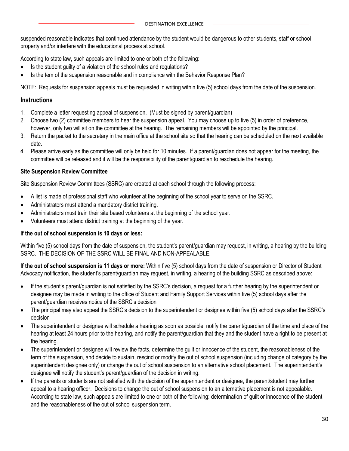suspended reasonable indicates that continued attendance by the student would be dangerous to other students, staff or school property and/or interfere with the educational process at school.

According to state law, such appeals are limited to one or both of the following:

- Is the student quilty of a violation of the school rules and regulations?
- Is the tem of the suspension reasonable and in compliance with the Behavior Response Plan?

NOTE: Requests for suspension appeals must be requested in writing within five (5) school days from the date of the suspension.

#### **Instructions**

- 1. Complete a letter requesting appeal of suspension. (Must be signed by parent/guardian)
- 2. Choose two (2) committee members to hear the suspension appeal. You may choose up to five (5) in order of preference, however, only two will sit on the committee at the hearing. The remaining members will be appointed by the principal.
- 3. Return the packet to the secretary in the main office at the school site so that the hearing can be scheduled on the next available date.
- 4. Please arrive early as the committee will only be held for 10 minutes. If a parent/guardian does not appear for the meeting, the committee will be released and it will be the responsibility of the parent/guardian to reschedule the hearing.

#### **Site Suspension Review Committee**

Site Suspension Review Committees (SSRC) are created at each school through the following process:

- A list is made of professional staff who volunteer at the beginning of the school year to serve on the SSRC.
- Administrators must attend a mandatory district training.
- Administrators must train their site based volunteers at the beginning of the school year.
- Volunteers must attend district training at the beginning of the year.

#### **If the out of school suspension is 10 days or less:**

Within five (5) school days from the date of suspension, the student's parent/quardian may request, in writing, a hearing by the building SSRC. THE DECISION OF THE SSRC WILL BE FINAL AND NON-APPEALABLE.

**If the out of school suspension is 11 days or more:** Within five (5) school days from the date of suspension or Director of Student Advocacy notification, the student's parent/guardian may request, in writing, a hearing of the building SSRC as described above:

- If the student's parent/guardian is not satisfied by the SSRC's decision, a request for a further hearing by the superintendent or designee may be made in writing to the office of Student and Family Support Services within five (5) school days after the parent/guardian receives notice of the SSRC's decision
- The principal may also appeal the SSRC's decision to the superintendent or designee within five (5) school days after the SSRC's decision
- The superintendent or designee will schedule a hearing as soon as possible, notify the parent/guardian of the time and place of the hearing at least 24 hours prior to the hearing, and notify the parent/guardian that they and the student have a right to be present at the hearing.
- The superintendent or designee will review the facts, determine the guilt or innocence of the student, the reasonableness of the term of the suspension, and decide to sustain, rescind or modify the out of school suspension (including change of category by the superintendent designee only) or change the out of school suspension to an alternative school placement. The superintendent's designee will notify the student's parent/guardian of the decision in writing.
- If the parents or students are not satisfied with the decision of the superintendent or designee, the parent/student may further appeal to a hearing officer. Decisions to change the out of school suspension to an alternative placement is not appealable. According to state law, such appeals are limited to one or both of the following: determination of guilt or innocence of the student and the reasonableness of the out of school suspension term.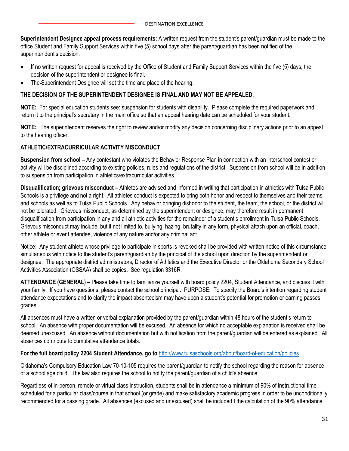**Superintendent Designee appeal process requirements:** A written request from the student's parent/guardian must be made to the office Student and Family Support Services within five (5) school days after the parent/guardian has been notified of the superintendent's decision.

- If no written request for appeal is received by the Office of Student and Family Support Services within the five (5) days, the decision of the superintendent or designee is final.
- The-Superintendent Designee will set the time and place of the hearing.

#### **THE DECISION OF THE SUPERINTENDENT DESIGNEE IS FINAL AND MAY NOT BE APPEALED.**

**NOTE:** For special education students see: suspension for students with disability. Please complete the required paperwork and return it to the principal's secretary in the main office so that an appeal hearing date can be scheduled for your student.

**NOTE:** The superintendent reserves the right to review and/or modify any decision concerning disciplinary actions prior to an appeal to the hearing officer.

#### **ATHLETIC/EXTRACURRICULAR ACTIVITY MISCONDUCT**

**Suspension from school –** Any contestant who violates the Behavior Response Plan in connection with an interschool contest or activity will be disciplined according to existing policies, rules and regulations of the district. Suspension from school will be in addition to suspension from participation in athletics/extracurricular activities.

**Disqualification; grievous misconduct –** Athletes are advised and informed in writing that participation in athletics with Tulsa Public Schools is a privilege and not a right. All athletes conduct is expected to bring both honor and respect to themselves and their teams and schools as well as to Tulsa Public Schools. Any behavior bringing dishonor to the student, the team, the school, or the district will not be tolerated. Grievous misconduct, as determined by the superintendent or designee, may therefore result in permanent disqualification from participation in any and all athletic activities for the remainder of a student's enrollment in Tulsa Public Schools. Grievous misconduct may include, but it not limited to, bullying, hazing, brutality in any form, physical attach upon an official, coach, other athlete or event attendee, violence of any nature and/or any criminal act.

Notice: Any student athlete whose privilege to participate in sports is revoked shall be provided with written notice of this circumstance simultaneous with notice to the student's parent/quardian by the principal of the school upon direction by the superintendent or designee. The appropriate district administrators, Director of Athletics and the Executive Director or the Oklahoma Secondary School Activities Association (OSSAA) shall be copies. See regulation 3316R.

**ATTENDANCE (GENERAL) –** Please take time to familiarize yourself with board policy 2204, Student Attendance, and discuss it with your family. If you have questions, please contact the school principal. PURPOSE: To specify the Board's intention regarding student attendance expectations and to clarify the impact absenteeism may have upon a student's potential for promotion or earning passes grades.

All absences must have a written or verbal explanation provided by the parent/guardian within 48 hours of the student's return to school. An absence with proper documentation will be excused. An absence for which no acceptable explanation is received shall be deemed unexcused. An absence without documentation but with notification from the parent/guardian will be entered as explained. All absences contribute to cumulative attendance totals.

#### **For the full board policy 2204 Student Attendance, go to** <http://www.tulsaschools.org/about/board-of-education/policies>

Oklahoma's Compulsory Education Law 70-10-105 requires the parent/guardian to notify the school regarding the reason for absence of a school age child. The law also requires the school to notify the parent/guardian of a child's absence.

Regardless of in-person, remote or virtual class instruction, students shall be in attendance a minimum of 90% of instructional time scheduled for a particular class/course in that school (or grade) and make satisfactory academic progress in order to be unconditionally recommended for a passing grade. All absences (excused and unexcused) shall be included I the calculation of the 90% attendance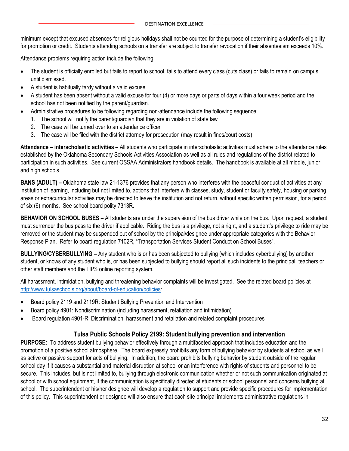minimum except that excused absences for religious holidays shall not be counted for the purpose of determining a student's eligibility for promotion or credit. Students attending schools on a transfer are subject to transfer revocation if their absenteeism exceeds 10%.

Attendance problems requiring action include the following:

- The student is officially enrolled but fails to report to school, fails to attend every class (cuts class) or fails to remain on campus until dismissed.
- A student is habitually tardy without a valid excuse
- A student has been absent without a valid excuse for four (4) or more days or parts of days within a four week period and the school has not been notified by the parent/guardian.
- Administrative procedures to be following regarding non-attendance include the following sequence:
	- 1. The school will notify the parent/guardian that they are in violation of state law
	- 2. The case will be turned over to an attendance officer
	- 3. The case will be filed with the district attorney for prosecution (may result in fines/court costs)

**Attendance – interscholastic activities –** All students who participate in interscholastic activities must adhere to the attendance rules established by the Oklahoma Secondary Schools Activities Association as well as all rules and regulations of the district related to participation in such activities. See current OSSAA Administrators handbook details. The handbook is available at all middle, junior and high schools.

**BANS (ADULT) –** Oklahoma state law 21-1376 provides that any person who interferes with the peaceful conduct of activities at any institution of learning, including but not limited to, actions that interfere with classes, study, student or faculty safety, housing or parking areas or extracurricular activities may be directed to leave the institution and not return, without specific written permission, for a period of six (6) months. See school board polity 7313R.

**BEHAVIOR ON SCHOOL BUSES –** All students are under the supervision of the bus driver while on the bus. Upon request, a student must surrender the bus pass to the driver if applicable. Riding the bus is a privilege, not a right, and a student's privilege to ride may be removed or the student may be suspended out of school by the principal/designee under appropriate categories with the Behavior Response Plan. Refer to board regulation 7102R, "Transportation Services Student Conduct on School Buses".

**BULLYING/CYBERBULLYING –** Any student who is or has been subjected to bullying (which includes cyberbullying) by another student, or knows of any student who is, or has been subjected to bullying should report all such incidents to the principal, teachers or other staff members and the TIPS online reporting system.

All harassment, intimidation, bullying and threatening behavior complaints will be investigated. See the related board policies at [http://www.tulsaschools.org/about/board-of-education/policies:](http://www.tulsaschools.org/about/board-of-education/policies)

- Board policy 2119 and 2119R: Student Bullying Prevention and Intervention
- Board policy 4901: Nondiscrimination (including harassment, retaliation and intimidation)
- Board regulation 4901-R: Discrimination, harassment and retaliation and related complaint procedures

#### **Tulsa Public Schools Policy 2199: Student bullying prevention and intervention**

**PURPOSE:** To address student bullying behavior effectively through a multifaceted approach that includes education and the promotion of a positive school atmosphere. The board expressly prohibits any form of bullying behavior by students at school as well as active or passive support for acts of bullying. In addition, the board prohibits bullying behavior by student outside of the regular school day if it causes a substantial and material disruption at school or an interference with rights of students and personnel to be secure. This includes, but is not limited to, bullying through electronic communication whether or not such communication originated at school or with school equipment, if the communication is specifically directed at students or school personnel and concerns bullying at school. The superintendent or his/her designee will develop a regulation to support and provide specific procedures for implementation of this policy. This superintendent or designee will also ensure that each site principal implements administrative regulations in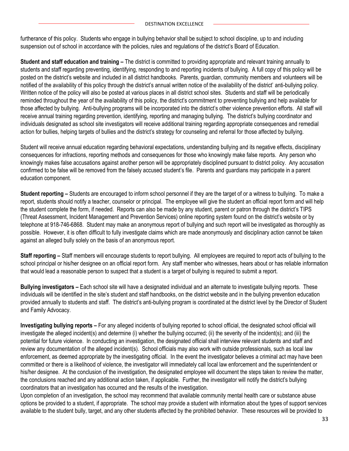furtherance of this policy. Students who engage in bullying behavior shall be subject to school discipline, up to and including suspension out of school in accordance with the policies, rules and regulations of the district's Board of Education.

**Student and staff education and training –** The district is committed to providing appropriate and relevant training annually to students and staff regarding preventing, identifying, responding to and reporting incidents of bullying. A full copy of this policy will be posted on the district's website and included in all district handbooks. Parents, guardian, community members and volunteers will be notified of the availability of this policy through the district's annual written notice of the availability of the district' anti-bullying policy. Written notice of the policy will also be posted at various places in all district school sites. Students and staff will be periodically reminded throughout the year of the availability of this policy, the district's commitment to preventing bullying and help available for those affected by bullying. Anti-bullying programs will be incorporated into the district's other violence prevention efforts. All staff will receive annual training regarding prevention, identifying, reporting and managing bullying. The district's bullying coordinator and individuals designated as school site investigators will receive additional training regarding appropriate consequences and remedial action for bullies, helping targets of bullies and the district's strategy for counseling and referral for those affected by bullying.

Student will receive annual education regarding behavioral expectations, understanding bullying and its negative effects, disciplinary consequences for infractions, reporting methods and consequences for those who knowingly make false reports. Any person who knowingly makes false accusations against another person will be appropriately disciplined pursuant to district policy. Any accusation confirmed to be false will be removed from the falsely accused student's file. Parents and guardians may participate in a parent education component.

**Student reporting –** Students are encouraged to inform school personnel if they are the target of or a witness to bullying. To make a report, students should notify a teacher, counselor or principal. The employee will give the student an official report form and will help the student complete the form, if needed. Reports can also be made by any student, parent or patron through the district's TIPS (Threat Assessment, Incident Management and Prevention Services) online reporting system found on the district's website or by telephone at 918-746-6868. Student may make an anonymous report of bullying and such report will be investigated as thoroughly as possible. However, it is often difficult to fully investigate claims which are made anonymously and disciplinary action cannot be taken against an alleged bully solely on the basis of an anonymous report.

**Staff reporting –** Staff members will encourage students to report bullying. All employees are required to report acts of bullying to the school principal or his/her designee on an official report form. Any staff member who witnesses, hears about or has reliable information that would lead a reasonable person to suspect that a student is a target of bullying is required to submit a report.

**Bullying investigators –** Each school site will have a designated individual and an alternate to investigate bullying reports. These individuals will be identified in the site's student and staff handbooks, on the district website and in the bullying prevention education provided annually to students and staff. The district's anti-bullying program is coordinated at the district level by the Director of Student and Family Advocacy.

**Investigating bullying reports –** For any alleged incidents of bullying reported to school official, the designated school official will investigate the alleged incident(s) and determine (i) whether the bullying occurred; (ii) the severity of the incident(s); and (iii) the potential for future violence. In conducting an investigation, the designated official shall interview relevant students and staff and review any documentation of the alleged incident(s). School officials may also work with outside professionals, such as local law enforcement, as deemed appropriate by the investigating official. In the event the investigator believes a criminal act may have been committed or there is a likelihood of violence, the investigator will immediately call local law enforcement and the superintendent or his/her designee. At the conclusion of the investigation, the designated employee will document the steps taken to review the matter, the conclusions reached and any additional action taken, if applicable. Further, the investigator will notify the district's bullying coordinators that an investigation has occurred and the results of the investigation.

Upon completion of an investigation, the school may recommend that available community mental health care or substance abuse options be provided to a student, if appropriate. The school may provide a student with information about the types of support services available to the student bully, target, and any other students affected by the prohibited behavior. These resources will be provided to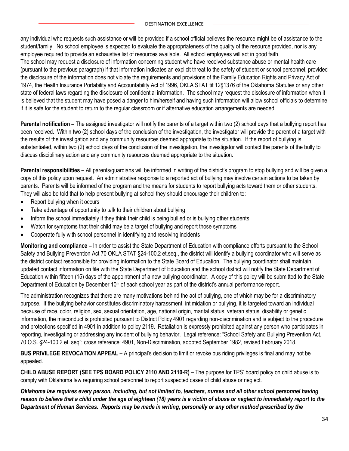any individual who requests such assistance or will be provided if a school official believes the resource might be of assistance to the student/family. No school employee is expected to evaluate the appropriateness of the quality of the resource provided, nor is any employee required to provide an exhaustive list of resources available. All school employees will act in good faith.

The school may request a disclosure of information concerning student who have received substance abuse or mental health care (pursuant to the previous paragraph) if that information indicates an explicit threat to the safety of student or school personnel, provided the disclosure of the information does not violate the requirements and provisions of the Family Education Rights and Privacy Act of 1974, the Health Insurance Portability and Accountability Act of 1996, OKLA STAT tit 12§1376 of the Oklahoma Statutes or any other state of federal laws regarding the disclosure of confidential information. The school may request the disclosure of information when it is believed that the student may have posed a danger to him/herself and having such information will allow school officials to determine if it is safe for the student to return to the regular classroom or if alternative education arrangements are needed.

**Parental notification –** The assigned investigator will notify the parents of a target within two (2) school days that a bullying report has been received. Within two (2) school days of the conclusion of the investigation, the investigator will provide the parent of a target with the results of the investigation and any community resources deemed appropriate to the situation. If the report of bullying is substantiated, within two (2) school days of the conclusion of the investigation, the investigator will contact the parents of the bully to discuss disciplinary action and any community resources deemed appropriate to the situation.

**Parental responsibilities –** All parents/guardians will be informed in writing of the district's program to stop bullying and will be given a copy of this policy upon request. An administrative response to a reported act of bullying may involve certain actions to be taken by parents. Parents will be informed of the program and the means for students to report bullying acts toward them or other students. They will also be told that to help present bullying at school they should encourage their children to:

- Report bullying when it occurs
- Take advantage of opportunity to talk to their children about bullying
- Inform the school immediately if they think their child is being bullied or is bullying other students
- Watch for symptoms that their child may be a target of bullying and report those symptoms
- Cooperate fully with school personnel in identifying and resolving incidents

**Monitoring and compliance –** In order to assist the State Department of Education with compliance efforts pursuant to the School Safety and Bullying Prevention Act 70 OKLA STAT §24-100.2 et.seq., the district will identify a bullying coordinator who will serve as the district contact responsible for providing information to the State Board of Education. The bullying coordinator shall maintain updated contact information on file with the State Department of Education and the school district will notify the State Department of Education within fifteen (15) days of the appointment of a new bullying coordinator. A copy of this policy will be submitted to the State Department of Education by December 10<sup>th</sup> of each school year as part of the district's annual performance report.

The administration recognizes that there are many motivations behind the act of bullying, one of which may be for a discriminatory purpose. If the bullying behavior constitutes discriminatory harassment, intimidation or bullying, it is targeted toward an individual because of race, color, religion, sex, sexual orientation, age, national origin, marital status, veteran status, disability or genetic information, the misconduct is prohibited pursuant to District Policy 4901 regarding non-discrimination and is subject to the procedure and protections specified in 4901 in addition to policy 2119. Retaliation is expressly prohibited against any person who participates in reporting, investigating or addressing any incident of bullying behavior. Legal reference: "School Safety and Bullying Prevention Act, 70 O.S. §24-100.2 et. seq"; cross reference: 4901, Non-Discrimination, adopted September 1982, revised February 2018.

**BUS PRIVILEGE REVOCATION APPEAL –** A principal's decision to limit or revoke bus riding privileges is final and may not be appealed.

**CHILD ABUSE REPORT (SEE TPS BOARD POLICY 2110 AND 2110-R) –** The purpose for TPS' board policy on child abuse is to comply with Oklahoma law requiring school personnel to report suspected cases of child abuse or neglect.

*Oklahoma law requires every person, including, but not limited to, teachers, nurses and all other school personnel having reason to believe that a child under the age of eighteen (18) years is a victim of abuse or neglect to immediately report to the Department of Human Services. Reports may be made in writing, personally or any other method prescribed by the*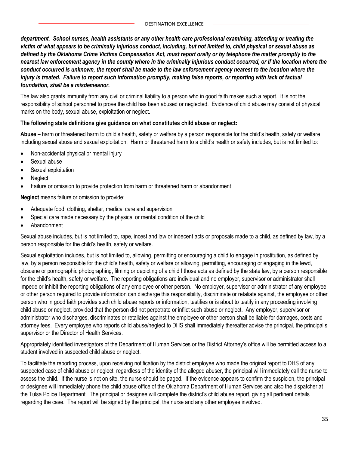*department. School nurses, health assistants or any other health care professional examining, attending or treating the victim of what appears to be criminally injurious conduct, including, but not limited to, child physical or sexual abuse as defined by the Oklahoma Crime Victims Compensation Act, must report orally or by telephone the matter promptly to the nearest law enforcement agency in the county where in the criminally injurious conduct occurred, or if the location where the conduct occurred is unknown, the report shall be made to the law enforcement agency nearest to the location where the injury is treated. Failure to report such information promptly, making false reports, or reporting with lack of factual foundation, shall be a misdemeanor.*

The law also grants immunity from any civil or criminal liability to a person who in good faith makes such a report. It is not the responsibility of school personnel to prove the child has been abused or neglected. Evidence of child abuse may consist of physical marks on the body, sexual abuse, exploitation or neglect.

#### **The following state definitions give guidance on what constitutes child abuse or neglect:**

**Abuse –** harm or threatened harm to child's health, safety or welfare by a person responsible for the child's health, safety or welfare including sexual abuse and sexual exploitation. Harm or threatened harm to a child's health or safety includes, but is not limited to:

- Non-accidental physical or mental injury
- Sexual abuse
- Sexual exploitation
- Neglect
- Failure or omission to provide protection from harm or threatened harm or abandonment

**Neglect** means failure or omission to provide:

- Adequate food, clothing, shelter, medical care and supervision
- Special care made necessary by the physical or mental condition of the child
- Abandonment

Sexual abuse includes, but is not limited to, rape, incest and law or indecent acts or proposals made to a child, as defined by law, by a person responsible for the child's health, safety or welfare.

Sexual exploitation includes, but is not limited to, allowing, permitting or encouraging a child to engage in prostitution, as defined by law, by a person responsible for the child's health, safety or welfare or allowing, permitting, encouraging or engaging in the lewd, obscene or pornographic photographing, filming or depicting of a child I those acts as defined by the state law, by a person responsible for the child's health, safety or welfare. The reporting obligations are individual and no employer, supervisor or administrator shall impede or inhibit the reporting obligations of any employee or other person. No employer, supervisor or administrator of any employee or other person required to provide information can discharge this responsibility, discriminate or retaliate against, the employee or other person who in good faith provides such child abuse reports or information, testifies or is about to testify in any proceeding involving child abuse or neglect, provided that the person did not perpetrate or inflict such abuse or neglect. Any employer, supervisor or administrator who discharges, discriminates or retaliates against the employee or other person shall be liable for damages, costs and attorney fees. Every employee who reports child abuse/neglect to DHS shall immediately thereafter advise the principal, the principal's supervisor or the Director of Health Services.

Appropriately identified investigators of the Department of Human Services or the District Attorney's office will be permitted access to a student involved in suspected child abuse or neglect.

To facilitate the reporting process, upon receiving notification by the district employee who made the original report to DHS of any suspected case of child abuse or neglect, regardless of the identity of the alleged abuser, the principal will immediately call the nurse to assess the child. If the nurse is not on site, the nurse should be paged. If the evidence appears to confirm the suspicion, the principal or designee will immediately phone the child abuse office of the Oklahoma Department of Human Services and also the dispatcher at the Tulsa Police Department. The principal or designee will complete the district's child abuse report, giving all pertinent details regarding the case. The report will be signed by the principal, the nurse and any other employee involved.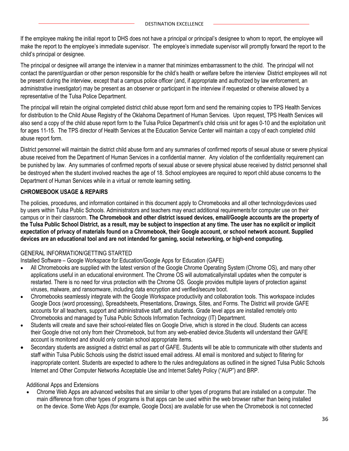If the employee making the initial report to DHS does not have a principal or principal's designee to whom to report, the employee will make the report to the employee's immediate supervisor. The employee's immediate supervisor will promptly forward the report to the child's principal or designee.

The principal or designee will arrange the interview in a manner that minimizes embarrassment to the child. The principal will not contact the parent/guardian or other person responsible for the child's health or welfare before the interview District employees will not be present during the interview, except that a campus police officer (and, if appropriate and authorized by law enforcement, an administrative investigator) may be present as an observer or participant in the interview if requested or otherwise allowed by a representative of the Tulsa Police Department.

The principal will retain the original completed district child abuse report form and send the remaining copies to TPS Health Services for distribution to the Child Abuse Registry of the Oklahoma Department of Human Services. Upon request, TPS Health Services will also send a copy of the child abuse report form to the Tulsa Police Department's child crisis unit for ages 0-10 and the exploitation unit for ages 11-15. The TPS director of Health Services at the Education Service Center will maintain a copy of each completed child abuse report form.

District personnel will maintain the district child abuse form and any summaries of confirmed reports of sexual abuse or severe physical abuse received from the Department of Human Services in a confidential manner. Any violation of the confidentiality requirement can be punished by law. Any summaries of confirmed reports of sexual abuse or severe physical abuse received by district personnel shall be destroyed when the student involved reaches the age of 18. School employees are required to report child abuse concerns to the Department of Human Services while in a virtual or remote learning setting.

#### **CHROMEBOOK USAGE & REPAIRS**

The policies, procedures, and information contained in this document apply to Chromebooks and all other technologydevices used by users within Tulsa Public Schools. Administrators and teachers may enact additional requirements for computer use on their campus or in their classroom. **The Chromebook and other district issued devices, email/Google accounts are the property of the Tulsa Public School District, as a result, may be subject to inspection at any time. The user has no explicit or implicit expectation of privacy of materials found on a Chromebook, their Google account, or school network account. Supplied devices are an educational tool and are not intended for gaming, social networking, or high-end computing.**

#### GENERAL INFORMATION/GETTING STARTED

Installed Software – Google Workspace for Education/Google Apps for Education (GAFE)

- All Chromebooks are supplied with the latest version of the Google Chrome Operating System (Chrome OS), and many other applications useful in an educational environment. The Chrome OS will automaticallyinstall updates when the computer is restarted. There is no need for virus protection with the Chrome OS. Google provides multiple layers of protection against viruses, malware, and ransomware, including data encryption and verified/secure boot.
- Chromebooks seamlessly integrate with the Google Workspace productivity and collaboration tools. This workspace includes Google Docs (word processing), Spreadsheets, Presentations, Drawings, Sites, and Forms. The District will provide GAFE accounts for all teachers, support and administrative staff, and students. Grade level apps are installed remotely onto Chromebooks and managed by Tulsa Public Schools Information Technology (IT) Department.
- Students will create and save their school-related files on Google Drive, which is stored in the cloud. Students can access their Google drive not only from their Chromebook, but from any web-enabled device.Students will understand their GAFE account is monitored and should only contain school appropriate items.
- Secondary students are assigned a district email as part of GAFE. Students will be able to communicate with other students and staff within Tulsa Public Schools using the district issued email address. All email is monitored and subject to filtering for inappropriate content. Students are expected to adhere to the rules andregulations as outlined in the signed Tulsa Public Schools Internet and Other Computer Networks Acceptable Use and Internet Safety Policy ("AUP") and BRP.

#### Additional Apps and Extensions

• Chrome Web Apps are advanced websites that are similar to other types of programs that are installed on a computer. The main difference from other types of programs is that apps can be used within the web browser rather than being installed on the device. Some Web Apps (for example, Google Docs) are available for use when the Chromebook is not connected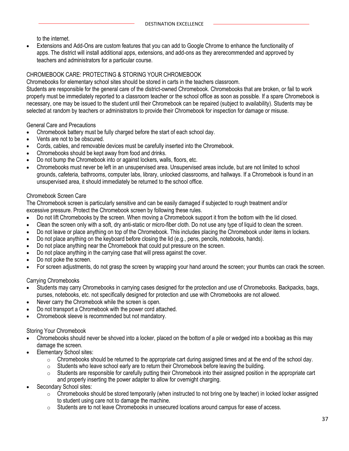to the internet.

• Extensions and Add-Ons are custom features that you can add to Google Chrome to enhance the functionality of apps. The district will install additional apps, extensions, and add-ons as they arerecommended and approved by teachers and administrators for a particular course.

#### CHROMEBOOK CARE: PROTECTING & STORING YOUR CHROMEBOOK

Chromebooks for elementary school sites should be stored in carts in the teachers classroom.

Students are responsible for the general care of the district-owned Chromebook. Chromebooks that are broken, or fail to work properly must be immediately reported to a classroom teacher or the school office as soon as possible. If a spare Chromebook is necessary, one may be issued to the student until their Chromebook can be repaired (subject to availability). Students may be selected at random by teachers or administrators to provide their Chromebook for inspection for damage or misuse.

General Care and Precautions

- Chromebook battery must be fully charged before the start of each school day.
- Vents are not to be obscured.
- Cords, cables, and removable devices must be carefully inserted into the Chromebook.
- Chromebooks should be kept away from food and drinks.
- Do not bump the Chromebook into or against lockers, walls, floors, etc.
- Chromebooks must never be left in an unsupervised area. Unsupervised areas include, but are not limited to school grounds, cafeteria, bathrooms, computer labs, library, unlocked classrooms, and hallways. If a Chromebook is found in an unsupervised area, it should immediately be returned to the school office.

#### Chromebook Screen Care

The Chromebook screen is particularly sensitive and can be easily damaged if subjected to rough treatment and/or excessive pressure. Protect the Chromebook screen by following these rules.

- Do not lift Chromebooks by the screen. When moving a Chromebook support it from the bottom with the lid closed.
- Clean the screen only with a soft, dry anti-static or micro-fiber cloth. Do not use any type of liquid to clean the screen.
- Do not leave or place anything on top of the Chromebook. This includes placing the Chromebook under items in lockers.
- Do not place anything on the keyboard before closing the lid (e.g., pens, pencils, notebooks, hands).
- Do not place anything near the Chromebook that could put pressure on the screen.
- Do not place anything in the carrying case that will press against the cover.
- Do not poke the screen.
- For screen adjustments, do not grasp the screen by wrapping your hand around the screen; your thumbs can crack the screen.

#### Carrying Chromebooks

- Students may carry Chromebooks in carrying cases designed for the protection and use of Chromebooks. Backpacks, bags, purses, notebooks, etc. not specifically designed for protection and use with Chromebooks are not allowed.
- Never carry the Chromebook while the screen is open.
- Do not transport a Chromebook with the power cord attached.
- Chromebook sleeve is recommended but not mandatory.

#### Storing Your Chromebook

- Chromebooks should never be shoved into a locker, placed on the bottom of a pile or wedged into a bookbag as this may damage the screen.
- Elementary School sites:
	- $\circ$  Chromebooks should be returned to the appropriate cart during assigned times and at the end of the school day.
	- $\circ$  Students who leave school early are to return their Chromebook before leaving the building.
	- o Students are responsible for carefully putting their Chromebook into their assigned position in the appropriate cart and properly inserting the power adapter to allow for overnight charging.
- Secondary School sites:
	- $\circ$  Chromebooks should be stored temporarily (when instructed to not bring one by teacher) in locked locker assigned to student using care not to damage the machine.
	- $\circ$  Students are to not leave Chromebooks in unsecured locations around campus for ease of access.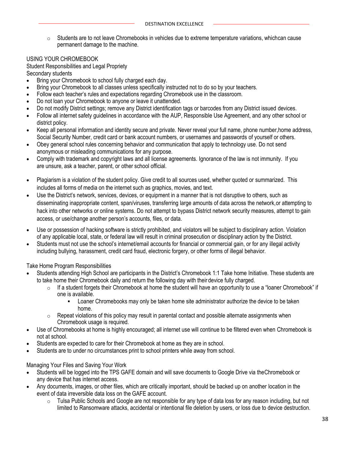$\circ$  Students are to not leave Chromebooks in vehicles due to extreme temperature variations, whichcan cause permanent damage to the machine.

#### USING YOUR CHROMEBOOK

Student Responsibilities and Legal Propriety Secondary students

- Bring your Chromebook to school fully charged each day.
- Bring your Chromebook to all classes unless specifically instructed not to do so by your teachers.
- Follow each teacher's rules and expectations regarding Chromebook use in the classroom.
- Do not loan your Chromebook to anyone or leave it unattended.
- Do not modify District settings; remove any District identification tags or barcodes from any District issued devices.
- Follow all internet safety guidelines in accordance with the AUP, Responsible Use Agreement, and any other school or district policy.
- Keep all personal information and identity secure and private. Never reveal your full name, phone number,home address, Social Security Number, credit card or bank account numbers, or usernames and passwords of yourself or others.
- Obey general school rules concerning behavior and communication that apply to technology use. Do not send anonymous or misleading communications for any purpose.
- Comply with trademark and copyright laws and all license agreements. Ignorance of the law is not immunity. If you are unsure, ask a teacher, parent, or other school official.
- Plagiarism is a violation of the student policy. Give credit to all sources used, whether quoted or summarized. This includes all forms of media on the internet such as graphics, movies, and text.
- Use the District's network, services, devices, or equipment in a manner that is not disruptive to others, such as disseminating inappropriate content, span/viruses, transferring large amounts of data across the network,or attempting to hack into other networks or online systems. Do not attempt to bypass District network security measures, attempt to gain access, or use/change another person's accounts, files, or data.
- Use or possession of hacking software is strictly prohibited, and violators will be subject to disciplinary action. Violation of any applicable local, state, or federal law will result in criminal prosecution or disciplinary action by the District.
- Students must not use the school's internet/email accounts for financial or commercial gain, or for any illegal activity including bullying, harassment, credit card fraud, electronic forgery, or other forms of illegal behavior.

Take Home Program Responsibilities

- Students attending High School are participants in the District's Chromebook 1:1 Take home Initiative. These students are to take home their Chromebook daily and return the following day with their device fully charged.
	- $\circ$  If a student forgets their Chromebook at home the student will have an opportunity to use a "loaner Chromebook" if one is available.
		- **•** Loaner Chromebooks may only be taken home site administrator authorize the device to be taken home.
	- $\circ$  Repeat violations of this policy may result in parental contact and possible alternate assignments when Chromebook usage is required.
- Use of Chromebooks at home is highly encouraged; all internet use will continue to be filtered even when Chromebook is not at school.
- Students are expected to care for their Chromebook at home as they are in school.
- Students are to under no circumstances print to school printers while away from school.

Managing Your Files and Saving Your Work

- Students will be logged into the TPS GAFE domain and will save documents to Google Drive via theChromebook or any device that has internet access.
- Any documents, images, or other files, which are critically important, should be backed up on another location in the event of data irreversible data loss on the GAFE account.
	- o Tulsa Public Schools and Google are not responsible for any type of data loss for any reason including, but not limited to Ransomware attacks, accidental or intentional file deletion by users, or loss due to device destruction.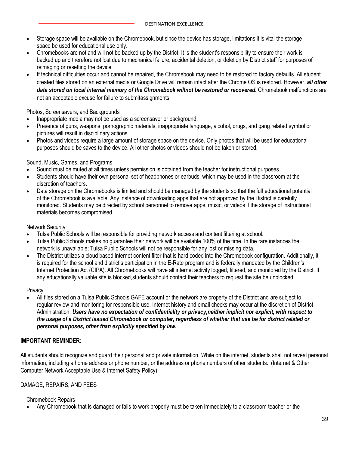- Storage space will be available on the Chromebook, but since the device has storage, limitations it is vital the storage space be used for educational use only.
- Chromebooks are not and will not be backed up by the District. It is the student's responsibility to ensure their work is backed up and therefore not lost due to mechanical failure, accidental deletion, or deletion by District staff for purposes of reimaging or resetting the device.
- If technical difficulties occur and cannot be repaired, the Chromebook may need to be restored to factory defaults. All student created files stored on an external media or Google Drive will remain intact after the Chrome OS is restored. However, *all other data stored on local internal memory of the Chromebook willnot be restored or recovered.* Chromebook malfunctions are not an acceptable excuse for failure to submitassignments.

#### Photos, Screensavers, and Backgrounds

- Inappropriate media may not be used as a screensaver or background.
- Presence of guns, weapons, pornographic materials, inappropriate language, alcohol, drugs, and gang related symbol or pictures will result in disciplinary actions.
- Photos and videos require a large amount of storage space on the device. Only photos that will be used for educational purposes should be saves to the device. All other photos or videos should not be taken or stored.

#### Sound, Music, Games, and Programs

- Sound must be muted at all times unless permission is obtained from the teacher for instructional purposes.
- Students should have their own personal set of headphones or earbuds, which may be used in the classroom at the discretion of teachers.
- Data storage on the Chromebooks is limited and should be managed by the students so that the full educational potential of the Chromebook is available. Any instance of downloading apps that are not approved by the District is carefully monitored. Students may be directed by school personnel to remove apps, music, or videos if the storage of instructional materials becomes compromised.

#### Network Security

- Tulsa Public Schools will be responsible for providing network access and content filtering at school.
- Tulsa Public Schools makes no guarantee their network will be available 100% of the time. In the rare instances the network is unavailable; Tulsa Public Schools will not be responsible for any lost or missing data.
- The District utilizes a cloud based internet content filter that is hard coded into the Chromebook configuration. Additionally, it is required for the school and district's participation in the E-Rate program and is federally mandated by the Children's Internet Protection Act (CIPA). All Chromebooks will have all internet activity logged, filtered, and monitored by the District. If any educationally valuable site is blocked,students should contact their teachers to request the site be unblocked.

#### Privacy

• All files stored on a Tulsa Public Schools GAFE account or the network are property of the District and are subject to regular review and monitoring for responsible use. Internet history and email checks may occur at the discretion of District Administration. *Users have no expectation of confidentiality or privacy,neither implicit nor explicit, with respect to the usage of a District issued Chromebook or computer, regardless of whether that use be for district related or personal purposes, other than explicitly specified by law.*

#### **IMPORTANT REMINDER:**

All students should recognize and guard their personal and private information. While on the internet, students shall not reveal personal information, including a home address or phone number, or the address or phone numbers of other students. (Internet & Other Computer Network Acceptable Use & Internet Safety Policy)

#### DAMAGE, REPAIRS, AND FEES

#### Chromebook Repairs

• Any Chromebook that is damaged or fails to work properly must be taken immediately to a classroom teacher or the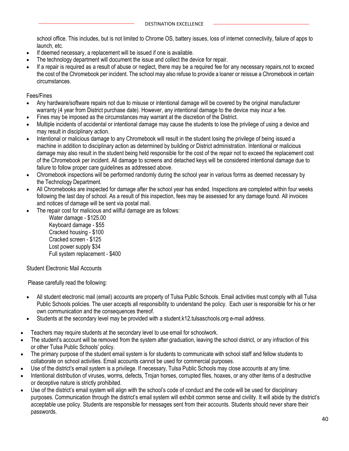school office. This includes, but is not limited to Chrome OS, battery issues, loss of internet connectivity, failure of apps to launch, etc.

- If deemed necessary, a replacement will be issued if one is available.
- The technology department will document the issue and collect the device for repair.
- If a repair is required as a result of abuse or neglect, there may be a required fee for any necessary repairs,not to exceed the cost of the Chromebook per incident. The school may also refuse to provide a loaner or reissue a Chromebook in certain circumstances.

Fees/Fines

- Any hardware/software repairs not due to misuse or intentional damage will be covered by the original manufacturer warranty (4 year from District purchase date). However, any intentional damage to the device may incur a fee.
- Fines may be imposed as the circumstances may warrant at the discretion of the District.
- Multiple incidents of accidental or intentional damage may cause the students to lose the privilege of using a device and may result in disciplinary action.
- Intentional or malicious damage to any Chromebook will result in the student losing the privilege of being issued a machine in addition to disciplinary action as determined by building or District administration. Intentional or malicious damage may also result in the student being held responsible for the cost of the repair not to exceed the replacement cost of the Chromebook per incident. All damage to screens and detached keys will be considered intentional damage due to failure to follow proper care guidelines as addressed above.
- Chromebook inspections will be performed randomly during the school year in various forms as deemed necessary by the Technology Department.
- All Chromebooks are inspected for damage after the school year has ended. Inspections are completed within four weeks following the last day of school. As a result of this inspection, fees may be assessed for any damage found. All invoices and notices of damage will be sent via postal mail.
- The repair cost for malicious and willful damage are as follows:

Water damage - \$125.00 Keyboard damage - \$55 Cracked housing - \$100 Cracked screen - \$125 Lost power supply \$34 Full system replacement - \$400

Student Electronic Mail Accounts

Please carefully read the following:

- All student electronic mail (email) accounts are property of Tulsa Public Schools. Email activities must comply with all Tulsa Public Schools policies. The user accepts all responsibility to understand the policy. Each user is responsible for his or her own communication and the consequences thereof.
- Students at the secondary level may be provided with a student.k12.tulsaschools.org e-mail address.
- Teachers may require students at the secondary level to use email for schoolwork.
- The student's account will be removed from the system after graduation, leaving the school district, or any infraction of this or other Tulsa Public Schools' policy.
- The primary purpose of the student email system is for students to communicate with school staff and fellow students to collaborate on school activities. Email accounts cannot be used for commercial purposes.
- Use of the district's email system is a privilege. If necessary, Tulsa Public Schools may close accounts at any time.
- Intentional distribution of viruses, worms, defects, Trojan horses, corrupted files, hoaxes, or any other items of a destructive or deceptive nature is strictly prohibited.
- Use of the district's email system will align with the school's code of conduct and the code will be used for disciplinary purposes. Communication through the district's email system will exhibit common sense and civility. It will abide by the district's acceptable use policy. Students are responsible for messages sent from their accounts. Students should never share their passwords.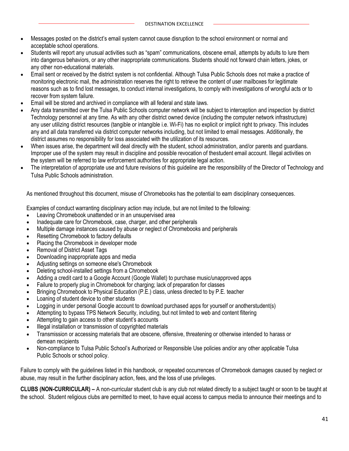- Messages posted on the district's email system cannot cause disruption to the school environment or normal and acceptable school operations.
- Students will report any unusual activities such as "spam" communications, obscene email, attempts by adults to lure them into dangerous behaviors, or any other inappropriate communications. Students should not forward chain letters, jokes, or any other non-educational materials.
- Email sent or received by the district system is not confidential. Although Tulsa Public Schools does not make a practice of monitoring electronic mail, the administration reserves the right to retrieve the content of user mailboxes for legitimate reasons such as to find lost messages, to conduct internal investigations, to comply with investigations of wrongful acts or to recover from system failure.
- Email will be stored and archived in compliance with all federal and state laws.
- Any data transmitted over the Tulsa Public Schools computer network will be subject to interception and inspection by district Technology personnel at any time. As with any other district owned device (including the computer network infrastructure) any user utilizing district resources (tangible or intangible i.e. Wi-Fi) has no explicit or implicit right to privacy. This includes any and all data transferred via district computer networks including, but not limited to email messages. Additionally, the district assumes no responsibility for loss associated with the utilization of its resources.
- When issues arise, the department will deal directly with the student, school administration, and/or parents and guardians. Improper use of the system may result in discipline and possible revocation of thestudent email account. Illegal activities on the system will be referred to law enforcement authorities for appropriate legal action.
- The interpretation of appropriate use and future revisions of this guideline are the responsibility of the Director of Technology and Tulsa Public Schools administration.

As mentioned throughout this document, misuse of Chromebooks has the potential to earn disciplinary consequences.

Examples of conduct warranting disciplinary action may include, but are not limited to the following:

- Leaving Chromebook unattended or in an unsupervised area
- Inadequate care for Chromebook, case, charger, and other peripherals
- Multiple damage instances caused by abuse or neglect of Chromebooks and peripherals
- Resetting Chromebook to factory defaults
- Placing the Chromebook in developer mode
- Removal of District Asset Tags
- Downloading inappropriate apps and media
- Adjusting settings on someone else's Chromebook
- Deleting school-installed settings from a Chromebook
- Adding a credit card to a Google Account (Google Wallet) to purchase music/unapproved apps
- Failure to properly plug in Chromebook for charging; lack of preparation for classes
- Bringing Chromebook to Physical Education (P.E.) class, unless directed to by P.E. teacher
- Loaning of student device to other students
- Logging in under personal Google account to download purchased apps for yourself or anotherstudent(s)
- Attempting to bypass TPS Network Security, including, but not limited to web and content filtering
- Attempting to gain access to other student's accounts
- Illegal installation or transmission of copyrighted materials
- Transmission or accessing materials that are obscene, offensive, threatening or otherwise intended to harass or demean recipients
- Non-compliance to Tulsa Public School's Authorized or Responsible Use policies and/or any other applicable Tulsa Public Schools or school policy.

Failure to comply with the guidelines listed in this handbook, or repeated occurrences of Chromebook damages caused by neglect or abuse, may result in the further disciplinary action, fees, and the loss of use privileges.

**CLUBS (NON-CURRICULAR) –** A non-curricular student club is any club not related directly to a subject taught or soon to be taught at the school. Student religious clubs are permitted to meet, to have equal access to campus media to announce their meetings and to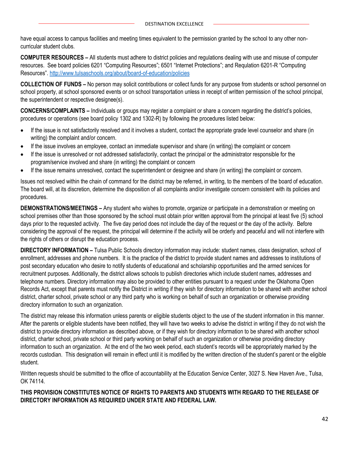have equal access to campus facilities and meeting times equivalent to the permission granted by the school to any other noncurricular student clubs.

**COMPUTER RESOURCES –** All students must adhere to district policies and regulations dealing with use and misuse of computer resources. See board policies 6201 "Computing Resources"; 6501 "Internet Protections"; and Requlation 6201-R "Computing Resources". <http://www.tulsaschools.org/about/board-of-education/policies>

**COLLECTION OF FUNDS –** No person may solicit contributions or collect funds for any purpose from students or school personnel on school property, at school sponsored events or on school transportation unless in receipt of written permission of the school principal, the superintendent or respective designee(s).

**CONCERNS/COMPLAINTS –** Individuals or groups may register a complaint or share a concern regarding the district's policies, procedures or operations (see board policy 1302 and 1302-R) by following the procedures listed below:

- If the issue is not satisfactorily resolved and it involves a student, contact the appropriate grade level counselor and share (in writing) the complaint and/or concern.
- If the issue involves an employee, contact an immediate supervisor and share (in writing) the complaint or concern
- If the issue is unresolved or not addressed satisfactorily, contact the principal or the administrator responsible for the program/service involved and share (in writing) the complaint or concern
- If the issue remains unresolved, contact the superintendent or designee and share (in writing) the complaint or concern.

Issues not resolved within the chain of command for the district may be referred, in writing, to the members of the board of education. The board will, at its discretion, determine the disposition of all complaints and/or investigate concern consistent with its policies and procedures.

**DEMONSTRATIONS/MEETINGS –** Any student who wishes to promote, organize or participate in a demonstration or meeting on school premises other than those sponsored by the school must obtain prior written approval from the principal at least five (5) school days prior to the requested activity. The five day period does not include the day of the request or the day of the activity. Before considering the approval of the request, the principal will determine if the activity will be orderly and peaceful and will not interfere with the rights of others or disrupt the education process.

**DIRECTORY INFORMATION –** Tulsa Public Schools directory information may include: student names, class designation, school of enrollment, addresses and phone numbers. It is the practice of the district to provide student names and addresses to institutions of post secondary education who desire to notify students of educational and scholarship opportunities and the armed services for recruitment purposes. Additionally, the district allows schools to publish directories which include student names, addresses and telephone numbers. Directory information may also be provided to other entities pursuant to a request under the Oklahoma Open Records Act, except that parents must notify the District in writing if they wish for directory information to be shared with another school district, charter school, private school or any third party who is working on behalf of such an organization or otherwise providing directory information to such an organization.

The district may release this information unless parents or eligible students object to the use of the student information in this manner. After the parents or eligible students have been notified, they will have two weeks to advise the district in writing if they do not wish the district to provide directory information as described above, or if they wish for directory information to be shared with another school district, charter school, private school or third party working on behalf of such an organization or otherwise providing directory information to such an organization. At the end of the two week period, each student's records will be appropriately marked by the records custodian. This designation will remain in effect until it is modified by the written direction of the student's parent or the eligible student.

Written requests should be submitted to the office of accountability at the Education Service Center, 3027 S. New Haven Ave., Tulsa, OK 74114.

#### **THIS PROVISION CONSTITUTES NOTICE OF RIGHTS TO PARENTS AND STUDENTS WITH REGARD TO THE RELEASE OF DIRECTORY INFORMATION AS REQUIRED UNDER STATE AND FEDERAL LAW.**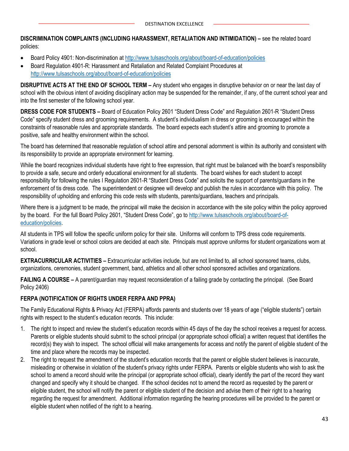**DISCRIMINATION COMPLAINTS (INCLUDING HARASSMENT, RETALIATION AND INTIMIDATION) –** see the related board policies:

- Board Policy 4901: Non-discrimination a[t http://www.tulsaschools.org/about/board-of-education/policies](http://www.tulsaschools.org/about/board-of-education/policies)
- Board Regulation 4901-R: Harassment and Retaliation and Related Complaint Procedures at <http://www.tulsaschools.org/about/board-of-education/policies>

**DISRUPTIVE ACTS AT THE END OF SCHOOL TERM –** Any student who engages in disruptive behavior on or near the last day of school with the obvious intent of avoiding disciplinary action may be suspended for the remainder, if any, of the current school year and into the first semester of the following school year.

**DRESS CODE FOR STUDENTS –** Board of Education Policy 2601 "Student Dress Code" and Regulation 2601-R "Student Dress Code" specify student dress and grooming requirements. A student's individualism in dress or grooming is encouraged within the constraints of reasonable rules and appropriate standards. The board expects each student's attire and grooming to promote a positive, safe and healthy environment within the school.

The board has determined that reasonable regulation of school attire and personal adornment is within its authority and consistent with its responsibility to provide an appropriate environment for learning.

While the board recognizes individual students have right to free expression, that right must be balanced with the board's responsibility to provide a safe, secure and orderly educational environment for all students. The board wishes for each student to accept responsibility for following the rules I Regulation 2601-R "Student Dress Code" and solicits the support of parents/guardians in the enforcement of tis dress code. The superintendent or designee will develop and publish the rules in accordance with this policy. The responsibility of upholding and enforcing this code rests with students, parents/guardians, teachers and principals.

Where there is a judgment to be made, the principal will make the decision in accordance with the site policy within the policy approved by the board. For the full Board Policy 2601, "Student Dress Code", go to [http://www.tulsaschools.org/about/board-of](http://www.tulsaschools.org/about/board-of-education/policies)[education/policies.](http://www.tulsaschools.org/about/board-of-education/policies)

All students in TPS will follow the specific uniform policy for their site. Uniforms will conform to TPS dress code requirements. Variations in grade level or school colors are decided at each site. Principals must approve uniforms for student organizations worn at school.

**EXTRACURRICULAR ACTIVITIES –** Extracurricular activities include, but are not limited to, all school sponsored teams, clubs, organizations, ceremonies, student government, band, athletics and all other school sponsored activities and organizations.

**FAILING A COURSE –** A parent/guardian may request reconsideration of a failing grade by contacting the principal. (See Board Policy 2406)

#### **FERPA (NOTIFICATION OF RIGHTS UNDER FERPA AND PPRA)**

The Family Educational Rights & Privacy Act (FERPA) affords parents and students over 18 years of age ("eligible students") certain rights with respect to the student's education records. This include:

- 1. The right to inspect and review the student's education records within 45 days of the day the school receives a request for access. Parents or eligible students should submit to the school principal (or appropriate school official) a written request that identifies the record(s) they wish to inspect. The school official will make arrangements for access and notify the parent of eligible student of the time and place where the records may be inspected.
- 2. The right to request the amendment of the student's education records that the parent or eligible student believes is inaccurate, misleading or otherwise in violation of the student's privacy rights under FERPA. Parents or eligible students who wish to ask the school to amend a record should write the principal (or appropriate school official), clearly identify the part of the record they want changed and specify why it should be changed. If the school decides not to amend the record as requested by the parent or eligible student, the school will notify the parent or eligible student of the decision and advise them of their right to a hearing regarding the request for amendment. Additional information regarding the hearing procedures will be provided to the parent or eligible student when notified of the right to a hearing.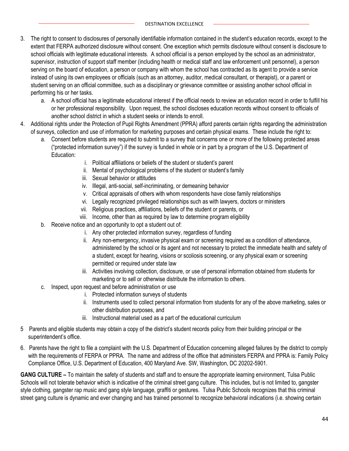- 3. The right to consent to disclosures of personally identifiable information contained in the student's education records, except to the extent that FERPA authorized disclosure without consent. One exception which permits disclosure without consent is disclosure to school officials with legitimate educational interests. A school official is a person employed by the school as an administrator, supervisor, instruction of support staff member (including health or medical staff and law enforcement unit personnel), a person serving on the board of education, a person or company with whom the school has contracted as its agent to provide a service instead of using its own employees or officials (such as an attorney, auditor, medical consultant, or therapist), or a parent or student serving on an official committee, such as a disciplinary or grievance committee or assisting another school official in performing his or her tasks.
	- a. A school official has a legitimate educational interest if the official needs to review an education record in order to fulfill his or her professional responsibility. Upon request, the school discloses education records without consent to officials of another school district in which a student seeks or intends to enroll.
- 4. Additional rights under the Protection of Pupil Rights Amendment (PPRA) afford parents certain rights regarding the administration of surveys, collection and use of information for marketing purposes and certain physical exams. These include the right to:
	- a. Consent before students are required to submit to a survey that concerns one or more of the following protected areas ("protected information survey") if the survey is funded in whole or in part by a program of the U.S. Department of Education:
		- i. Political affiliations or beliefs of the student or student's parent
		- ii. Mental of psychological problems of the student or student's family
		- iii. Sexual behavior or attitudes
		- iv. Illegal, anti-social, self-incriminating, or demeaning behavior
		- v. Critical appraisals of others with whom respondents have close family relationships
		- vi. Legally recognized privileged relationships such as with lawyers, doctors or ministers
		- vii. Religious practices, affiliations, beliefs of the student or parents, or
		- viii. Income, other than as required by law to determine program eligibility
	- b. Receive notice and an opportunity to opt a student out of:
		- i. Any other protected information survey, regardless of funding
		- ii. Any non-emergency, invasive physical exam or screening required as a condition of attendance, administered by the school or its agent and not necessary to protect the immediate health and safety of a student, except for hearing, visions or scoliosis screening, or any physical exam or screening permitted or required under state law
		- iii. Activities involving collection, disclosure, or use of personal information obtained from students for marketing or to sell or otherwise distribute the information to others.
	- c. Inspect, upon request and before administration or use
		- i. Protected information surveys of students
		- ii. Instruments used to collect personal information from students for any of the above marketing, sales or other distribution purposes, and
		- iii. Instructional material used as a part of the educational curriculum
- 5 Parents and eligible students may obtain a copy of the district's student records policy from their building principal or the superintendent's office.
- 6. Parents have the right to file a complaint with the U.S. Department of Education concerning alleged failures by the district to comply with the requirements of FERPA or PPRA. The name and address of the office that administers FERPA and PPRA is: Family Policy Compliance Office, U.S. Department of Education, 400 Maryland Ave. SW, Washington, DC 20202-5901.

**GANG CULTURE –** To maintain the safety of students and staff and to ensure the appropriate learning environment, Tulsa Public Schools will not tolerate behavior which is indicative of the criminal street gang culture. This includes, but is not limited to, gangster style clothing, gangster rap music and gang style language, graffiti or gestures. Tulsa Public Schools recognizes that this criminal street gang culture is dynamic and ever changing and has trained personnel to recognize behavioral indications (i.e. showing certain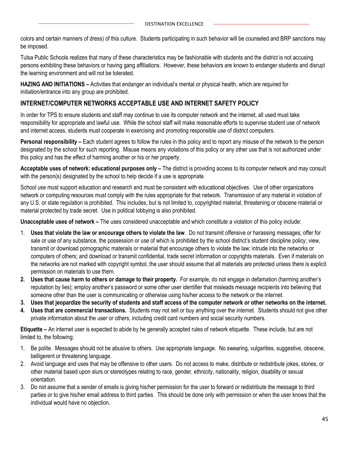colors and certain manners of dress) of this culture. Students participating in such behavior will be counseled and BRP sanctions may be imposed.

Tulsa Public Schools realizes that many of these characteristics may be fashionable with students and the district is not accusing persons exhibiting these behaviors or having gang affiliations. However, these behaviors are known to endanger students and disrupt the learning environment and will not be tolerated.

**HAZING AND INITIATIONS –** Activities that endanger an individual's mental or physical health, which are required for initiation/entrance into any group are prohibited.

#### **INTERNET/COMPUTER NETWORKS ACCEPTABLE USE AND INTERNET SAFETY POLICY**

In order for TPS to ensure students and staff may continue to use its computer network and the internet, all used must take responsibility for appropriate and lawful use. While the school staff will make reasonable efforts to supervise student use of network and internet access, students must cooperate in exercising and promoting responsible use of district computers.

**Personal responsibility –** Each student agrees to follow the rules in this policy and to report any misuse of the network to the person designated by the school for such reporting. Misuse means any violations of this policy or any other use that is not authorized under this policy and has the effect of harming another or his or her property.

**Acceptable uses of network: educational purposes only –** The district is providing access to its computer network and may consult with the person(s) designated by the school to help decide if a use is appropriate.

School use must support education and research and must be consistent with educational objectives. Use of other organizations network or computing resources must comply with the rules appropriate for that network. Transmission of any material in violation of any U.S. or state regulation is prohibited. This includes, but is not limited to, copyrighted material, threatening or obscene material or material protected by trade secret. Use in political lobbying is also prohibited.

**Unacceptable uses of network –** The uses considered unacceptable and which constitute a violation of this policy include:

- 1. **Uses that violate the law or encourage others to violate the law**. Do not transmit offensive or harassing messages; offer for sale or use of any substance, the possession or use of which is prohibited by the school district's student discipline policy; view, transmit or download pornographic materials or material that encourage others to violate the law; intrude into the networks or computers of others; and download or transmit confidential, trade secret information or copyrights materials. Even if materials on the networks are not marked with copyright symbol, the user should assume that all materials are protected unless there is explicit permission on materials to use them.
- **2. Uses that cause harm to others or damage to their property.** For example, do not engage in defamation (harming another's reputation by lies); employ another's password or some other user identifier that misleads message recipients into believing that someone other than the user is communicating or otherwise using his/her access to the network or the internet.
- **3. Uses that jeopardize the security of students and staff access of the computer network or other networks on the internet.**
- **4. Uses that are commercial transactions.** Students may not sell or buy anything over the internet. Students should not give other private information about the user or others, including credit card numbers and social security numbers.

**Etiquette –** An internet user is expected to abide by he generally accepted rules of network etiquette. These include, but are not limited to, the following:

- 1. Be polite. Messages should not be abusive to others. Use appropriate language. No swearing, vulgarities, suggestive, obscene, belligerent or threatening language.
- 2. Avoid language and uses that may be offensive to other users. Do not access to make, distribute or redistribute jokes, stories, or other material based upon slurs or stereotypes relating to race, gender, ethnicity, nationality, religion, disability or sexual orientation.
- 3. Do not assume that a sender of emails is giving his/her permission for the user to forward or redistribute the message to third parties or to give his/her email address to third parties. This should be done only with permission or when the user knows that the individual would have no objection.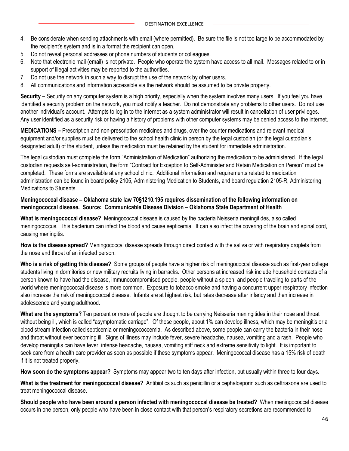- 4. Be considerate when sending attachments with email (where permitted). Be sure the file is not too large to be accommodated by the recipient's system and is in a format the recipient can open.
- 5. Do not reveal personal addresses or phone numbers of students or colleagues.
- 6. Note that electronic mail (email) is not private. People who operate the system have access to all mail. Messages related to or in support of illegal activities may be reported to the authorities.
- 7. Do not use the network in such a way to disrupt the use of the network by other users.
- 8. All communications and information accessible via the network should be assumed to be private property.

**Security –** Security on any computer system is a high priority, especially when the system involves many users. If you feel you have identified a security problem on the network, you must notify a teacher. Do not demonstrate any problems to other users. Do not use another individual's account. Attempts to log in to the internet as a system administrator will result in cancellation of user privileges. Any user identified as a security risk or having a history of problems with other computer systems may be denied access to the internet.

**MEDICATIONS –** Prescription and non-prescription medicines and drugs, over the counter medications and relevant medical equipment and/or supplies must be delivered to the school health clinic in person by the legal custodian (or the legal custodian's designated adult) of the student, unless the medication must be retained by the student for immediate administration.

The legal custodian must complete the form "Administration of Medication" authorizing the medication to be administered. If the legal custodian requests self-administration, the form "Contract for Exception to Self-Administer and Retain Medication on Person" must be completed. These forms are available at any school clinic. Additional information and requirements related to medication administration can be found in board policy 2105, Administering Medication to Students, and board regulation 2105-R, Administering Medications to Students.

#### **Meningococcal disease – Oklahoma state law 70§1210.195 requires dissemination of the following information on meningococcal disease. Source: Communicable Disease Division – Oklahoma State Department of Health**

**What is meningococcal disease?** Meningococcal disease is caused by the bacteria Neisseria meningitides, also called meningococcus. This bacterium can infect the blood and cause septicemia. It can also infect the covering of the brain and spinal cord, causing meningitis.

**How is the disease spread?** Meningococcal disease spreads through direct contact with the saliva or with respiratory droplets from the nose and throat of an infected person.

**Who is a risk of getting this disease?** Some groups of people have a higher risk of meningococcal disease such as first-year college students living in dormitories or new military recruits living in barracks. Other persons at increased risk include household contacts of a person known to have had the disease, immunocompromised people, people without a spleen, and people traveling to parts of the world where meningococcal disease is more common. Exposure to tobacco smoke and having a concurrent upper respiratory infection also increase the risk of meningococcal disease. Infants are at highest risk, but rates decrease after infancy and then increase in adolescence and young adulthood.

**What are the symptoms?** Ten percent or more of people are thought to be carrying Neisseria meningitides in their nose and throat without being ill, which is called "asymptomatic carriage". Of these people, about 1% can develop illness, which may be meningitis or a blood stream infection called septicemia or meningococcemia. As described above, some people can carry the bacteria in their nose and throat without ever becoming ill. Signs of illness may include fever, severe headache, nausea, vomiting and a rash. People who develop meningitis can have fever, intense headache, nausea, vomiting stiff neck and extreme sensitivity to light. It is important to seek care from a health care provider as soon as possible if these symptoms appear. Meningococcal disease has a 15% risk of death if it is not treated properly.

**How soon do the symptoms appear?** Symptoms may appear two to ten days after infection, but usually within three to four days.

**What is the treatment for meningococcal disease?** Antibiotics such as penicillin or a cephalosporin such as ceftriaxone are used to treat meningococcal disease.

**Should people who have been around a person infected with meningococcal disease be treated?** When meningococcal disease occurs in one person, only people who have been in close contact with that person's respiratory secretions are recommended to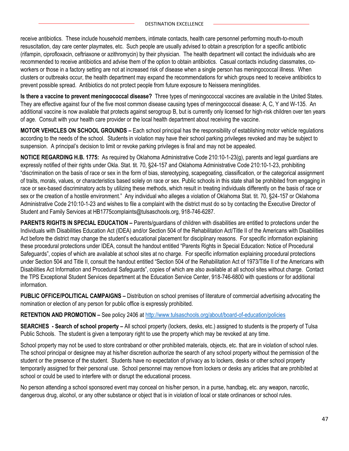receive antibiotics. These include household members, intimate contacts, health care personnel performing mouth-to-mouth resuscitation, day care center playmates, etc. Such people are usually advised to obtain a prescription for a specific antibiotic (rifampin, ciprofloxacin, ceftriaxone or azithromycin) by their physician. The health department will contact the individuals who are recommended to receive antibiotics and advise them of the option to obtain antibiotics. Casual contacts including classmates, coworkers or those in a factory setting are not at increased risk of disease when a single person has meningococcal illness. When clusters or outbreaks occur, the health department may expand the recommendations for which groups need to receive antibiotics to prevent possible spread. Antibiotics do not protect people from future exposure to Neissera meningitides.

**Is there a vaccine to prevent meningococcal disease?** Three types of meningococcal vaccines are available in the United States. They are effective against four of the five most common disease causing types of meningococcal disease: A, C, Y and W-135. An additional vaccine is now available that protects against serogroup B, but is currently only licensed for high-risk children over ten years of age. Consult with your health care provider or the local health department about receiving the vaccine.

**MOTOR VEHICLES ON SCHOOL GROUNDS –** Each school principal has the responsibility of establishing motor vehicle regulations according to the needs of the school. Students in violation may have their school parking privileges revoked and may be subject to suspension. A principal's decision to limit or revoke parking privileges is final and may not be appealed.

**NOTICE REGARDING H.B. 1775:** As required by Oklahoma Administrative Code 210:10-1-23(g), parents and legal guardians are expressly notified of their rights under Okla. Stat. tit. 70, §24-157 and Oklahoma Administrative Code 210:10-1-23, prohibiting "discrimination on the basis of race or sex in the form of bias, stereotyping, scapegoating, classification, or the categorical assignment of traits, morals, values, or characteristics based solely on race or sex. Public schools in this state shall be prohibited from engaging in race or sex-based discriminatory acts by utilizing these methods, which result in treating individuals differently on the basis of race or sex or the creation of a hostile environment." Any individual who alleges a violation of Oklahoma Stat. tit. 70, §24-157 or Oklahoma Administrative Code 210:10-1-23 and wishes to file a complaint with the district must do so by contacting the Executive Director of Student and Family Services at HB1775complaints@tulsaschools.org, 918-746-6287.

**PARENTS RIGHTS IN SPECIAL EDUCATION –** Parents/guardians of children with disabilities are entitled to protections under the Individuals with Disabilities Education Act (IDEA) and/or Section 504 of the Rehabilitation Act/Title II of the Americans with Disabilities Act before the district may change the student's educational placement for disciplinary reasons. For specific information explaining these procedural protections under IDEA, consult the handout entitled "Parents Rights in Special Education: Notice of Procedural Safeguards", copies of which are available at school sites at no charge. For specific information explaining procedural protections under Section 504 and Title II, consult the handout entitled "Section 504 of the Rehabilitation Act of 1973/Title II of the Americans with Disabilities Act Information and Procedural Safeguards", copies of which are also available at all school sites without charge. Contact the TPS Exceptional Student Services department at the Education Service Center, 918-746-6800 with questions or for additional information.

**PUBLIC OFFICE/POLITICAL CAMPAIGNS –** Distribution on school premises of literature of commercial advertising advocating the nomination or election of any person for public office is expressly prohibited.

**RETENTION AND PROMOTION –** See policy 2406 at<http://www.tulsaschools.org/about/board-of-education/policies>

**SEARCHES - Search of school property –** All school property (lockers, desks, etc.) assigned to students is the property of Tulsa Public Schools. The student is given a temporary right to use the property which may be revoked at any time.

School property may not be used to store contraband or other prohibited materials, objects, etc. that are in violation of school rules. The school principal or designee may at his/her discretion authorize the search of any school property without the permission of the student or the presence of the student. Students have no expectation of privacy as to lockers, desks or other school property temporarily assigned for their personal use. School personnel may remove from lockers or desks any articles that are prohibited at school or could be used to interfere with or disrupt the educational process.

No person attending a school sponsored event may conceal on his/her person, in a purse, handbag, etc. any weapon, narcotic, dangerous drug, alcohol, or any other substance or object that is in violation of local or state ordinances or school rules.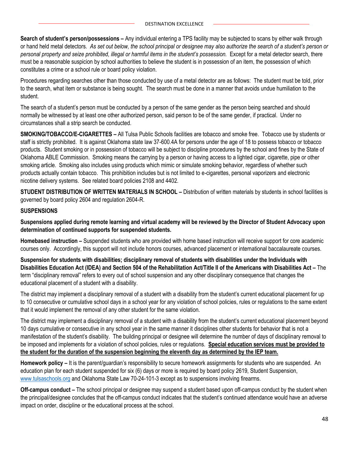**Search of student's person/possessions –** Any individual entering a TPS facility may be subjected to scans by either walk through or hand held metal detectors. *As set out below, the school principal or designee may also authorize the search of a student's person or personal property and seize prohibited, illegal or harmful items in the student's possession.* Except for a metal detector search, there must be a reasonable suspicion by school authorities to believe the student is in possession of an item, the possession of which constitutes a crime or a school rule or board policy violation.

Procedures regarding searches other than those conducted by use of a metal detector are as follows: The student must be told, prior to the search, what item or substance is being sought. The search must be done in a manner that avoids undue humiliation to the student.

The search of a student's person must be conducted by a person of the same gender as the person being searched and should normally be witnessed by at least one other authorized person, said person to be of the same gender, if practical. Under no circumstances shall a strip search be conducted.

**SMOKING/TOBACCO/E-CIGARETTES –** All Tulsa Public Schools facilities are tobacco and smoke free. Tobacco use by students or staff is strictly prohibited. It is against Oklahoma state law 37-600.4A for persons under the age of 18 to possess tobacco or tobacco products. Student smoking or in possession of tobacco will be subject to discipline procedures by the school and fines by the State of Oklahoma ABLE Commission. Smoking means the carrying by a person or having access to a lighted cigar, cigarette, pipe or other smoking article. Smoking also includes using products which mimic or simulate smoking behavior, regardless of whether such products actually contain tobacco. This prohibition includes but is not limited to e-cigarettes, personal vaporizers and electronic nicotine delivery systems. See related board policies 2108 and 4402.

**STUDENT DISTRIBUTION OF WRITTEN MATERIALS IN SCHOOL –** Distribution of written materials by students in school facilities is governed by board policy 2604 and regulation 2604-R.

#### **SUSPENSIONS**

**Suspensions applied during remote learning and virtual academy will be reviewed by the Director of Student Advocacy upon determination of continued supports for suspended students.**

**Homebased instruction –** Suspended students who are provided with home based instruction will receive support for core academic courses only. Accordingly, this support will not include honors courses, advanced placement or international baccalaureate courses.

**Suspension for students with disabilities; disciplinary removal of students with disabilities under the Individuals with Disabilities Education Act (IDEA) and Section 504 of the Rehabilitation Act/Title II of the Americans with Disabilities Act –** The term "disciplinary removal" refers to every out of school suspension and any other disciplinary consequence that changes the educational placement of a student with a disability.

The district may implement a disciplinary removal of a student with a disability from the student's current educational placement for up to 10 consecutive or cumulative school days in a school year for any violation of school policies, rules or regulations to the same extent that it would implement the removal of any other student for the same violation.

The district may implement a disciplinary removal of a student with a disability from the student's current educational placement beyond 10 days cumulative or consecutive in any school year in the same manner it disciplines other students for behavior that is not a manifestation of the student's disability. The building principal or designee will determine the number of days of disciplinary removal to be imposed and implements for a violation of school policies, rules or regulations. **Special education services must be provided to the student for the duration of the suspension beginning the eleventh day as determined by the IEP team.**

**Homework policy –** It is the parent/guardian's responsibility to secure homework assignments for students who are suspended. An education plan for each student suspended for six (6) days or more is required by board policy 2619, Student Suspension, [www.tulsaschools.org](http://www.tulsaschools.org/) and Oklahoma State Law 70-24-101-3 except as to suspensions involving firearms.

**Off-campus conduct –** The school principal or designee may suspend a student based upon off-campus conduct by the student when the principal/designee concludes that the off-campus conduct indicates that the student's continued attendance would have an adverse impact on order, discipline or the educational process at the school.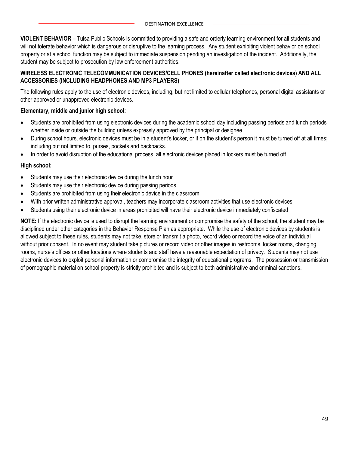**VIOLENT BEHAVIOR** – Tulsa Public Schools is committed to providing a safe and orderly learning environment for all students and will not tolerate behavior which is dangerous or disruptive to the learning process. Any student exhibiting violent behavior on school property or at a school function may be subject to immediate suspension pending an investigation of the incident. Additionally, the student may be subject to prosecution by law enforcement authorities.

#### **WIRELESS ELECTRONIC TELECOMMUNICATION DEVICES/CELL PHONES (hereinafter called electronic devices) AND ALL ACCESSORIES (INCLUDING HEADPHONES AND MP3 PLAYERS)**

The following rules apply to the use of electronic devices, including, but not limited to cellular telephones, personal digital assistants or other approved or unapproved electronic devices.

#### **Elementary, middle and junior high school:**

- Students are prohibited from using electronic devices during the academic school day including passing periods and lunch periods whether inside or outside the building unless expressly approved by the principal or designee
- During school hours, electronic devices must be in a student's locker, or if on the student's person it must be turned off at all times**;**  including but not limited to, purses, pockets and backpacks.
- In order to avoid disruption of the educational process, all electronic devices placed in lockers must be turned off

#### **High school:**

- Students may use their electronic device during the lunch hour
- Students may use their electronic device during passing periods
- Students are prohibited from using their electronic device in the classroom
- With prior written administrative approval, teachers may incorporate classroom activities that use electronic devices
- Students using their electronic device in areas prohibited will have their electronic device immediately confiscated

**NOTE:** If the electronic device is used to disrupt the learning environment or compromise the safety of the school, the student may be disciplined under other categories in the Behavior Response Plan as appropriate. While the use of electronic devices by students is allowed subject to these rules, students may not take, store or transmit a photo, record video or record the voice of an individual without prior consent. In no event may student take pictures or record video or other images in restrooms, locker rooms, changing rooms, nurse's offices or other locations where students and staff have a reasonable expectation of privacy. Students may not use electronic devices to exploit personal information or compromise the integrity of educational programs. The possession or transmission of pornographic material on school property is strictly prohibited and is subject to both administrative and criminal sanctions.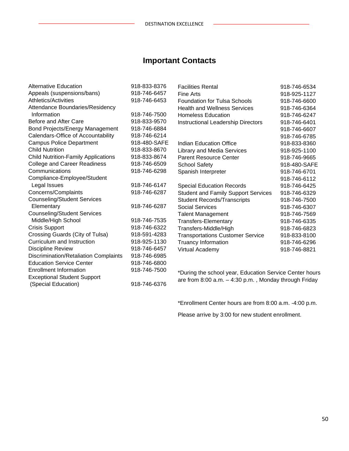## **Important Contacts**

| Alternative Education                      | 918-833-8376 | <b>Facilities Rental</b>                                | 918-746-6534 |
|--------------------------------------------|--------------|---------------------------------------------------------|--------------|
| Appeals (suspensions/bans)                 | 918-746-6457 | <b>Fine Arts</b>                                        | 918-925-1127 |
| Athletics/Activities                       | 918-746-6453 | <b>Foundation for Tulsa Schools</b>                     | 918-746-6600 |
| Attendance Boundaries/Residency            |              | <b>Health and Wellness Services</b>                     | 918-746-6364 |
| Information                                | 918-746-7500 | <b>Homeless Education</b>                               | 918-746-6247 |
| Before and After Care                      | 918-833-9570 | Instructional Leadership Directors                      | 918-746-6401 |
| Bond Projects/Energy Management            | 918-746-6884 |                                                         | 918-746-6607 |
| Calendars-Office of Accountability         | 918-746-6214 |                                                         | 918-746-6785 |
| <b>Campus Police Department</b>            | 918-480-SAFE | Indian Education Office                                 | 918-833-8360 |
| <b>Child Nutrition</b>                     | 918-833-8670 | Library and Media Services                              | 918-925-1100 |
| <b>Child Nutrition-Family Applications</b> | 918-833-8674 | <b>Parent Resource Center</b>                           | 918-746-9665 |
| <b>College and Career Readiness</b>        | 918-746-6509 | <b>School Safety</b>                                    | 918-480-SAFE |
| Communications                             | 918-746-6298 | Spanish Interpreter                                     | 918-746-6701 |
| Compliance-Employee/Student                |              |                                                         | 918-746-6112 |
| Legal Issues                               | 918-746-6147 | <b>Special Education Records</b>                        | 918-746-6425 |
| Concerns/Complaints                        | 918-746-6287 | <b>Student and Family Support Services</b>              | 918-746-6329 |
| <b>Counseling/Student Services</b>         |              | <b>Student Records/Transcripts</b>                      | 918-746-7500 |
| Elementary                                 | 918-746-6287 | <b>Social Services</b>                                  | 918-746-6307 |
| <b>Counseling/Student Services</b>         |              | <b>Talent Management</b>                                | 918-746-7569 |
| Middle/High School                         | 918-746-7535 | <b>Transfers-Elementary</b>                             | 918-746-6335 |
| <b>Crisis Support</b>                      | 918-746-6322 | Transfers-Middle/High                                   | 918-746-6823 |
| Crossing Guards (City of Tulsa)            | 918-591-4283 | <b>Transportations Customer Service</b>                 | 918-833-8100 |
| Curriculum and Instruction                 | 918-925-1130 | Truancy Information                                     | 918-746-6296 |
| <b>Discipline Review</b>                   | 918-746-6457 | Virtual Academy                                         | 918-746-8821 |
| Discrimination/Retaliation Complaints      | 918-746-6985 |                                                         |              |
| <b>Education Service Center</b>            | 918-746-6800 |                                                         |              |
| <b>Enrollment Information</b>              | 918-746-7500 | *During the school year, Education Service Center hours |              |
| <b>Exceptional Student Support</b>         |              | are from 8:00 a.m. - 4:30 p.m., Monday through Friday   |              |
| (Special Education)                        | 918-746-6376 |                                                         |              |

\*Enrollment Center hours are from 8:00 a.m. -4:00 p.m.

Please arrive by 3:00 for new student enrollment.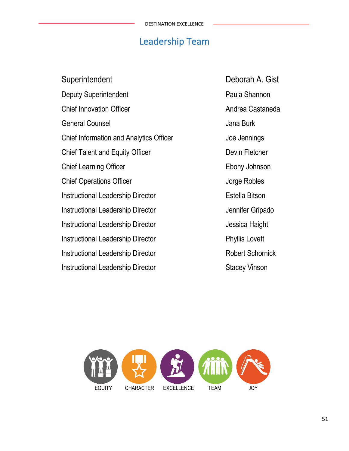## Leadership Team

Superintendent Deborah A. Gist Deputy Superintendent **Paula Shannon** Chief Innovation Officer **Andrea Castaneda** General Counsel **General** Counsel Chief Information and Analytics Officer Joe Jennings Chief Talent and Equity Officer **Devin Fletcher** Devin Fletcher Chief Learning Officer **Ebony Johnson Chief Operations Officer Chief Chief Operations Officer** Jorge Robles Instructional Leadership Director **Estella Bitson** Instructional Leadership Director **Constructional Leadership Director** Jennifer Gripado Instructional Leadership Director **Access 12 and 13 and 13 and 13 and 13 and 13 and 13 and 13 and 13 and 13 and 13 and 13 and 13 and 13 and 13 and 13 and 13 and 13 and 13 and 13 and 13 and 13 and 13 and 13 and 13 and 13 an** Instructional Leadership Director **Phyllis Lovett** Instructional Leadership Director Robert Schornick Instructional Leadership Director Stacey Vinson